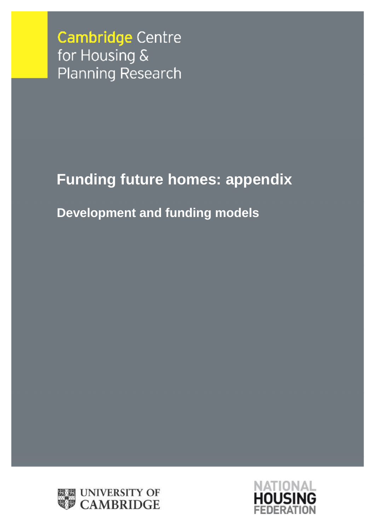**Cambridge Centre** for Housing & **Planning Research** 

# **Funding future homes: appendix**

# **Development and funding models**



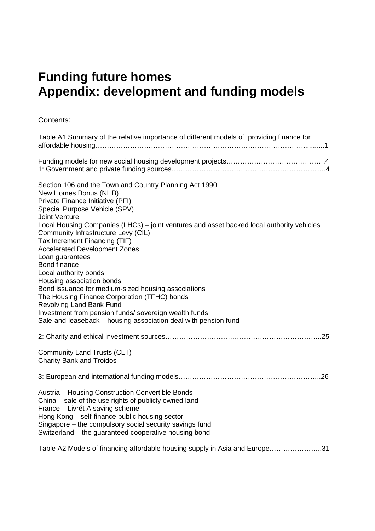# **Funding future homes Appendix: development and funding models**

Contents:

| Table A1 Summary of the relative importance of different models of providing finance for                                                                                                                                                                                                                           |
|--------------------------------------------------------------------------------------------------------------------------------------------------------------------------------------------------------------------------------------------------------------------------------------------------------------------|
|                                                                                                                                                                                                                                                                                                                    |
| Section 106 and the Town and Country Planning Act 1990<br>New Homes Bonus (NHB)<br>Private Finance Initiative (PFI)<br>Special Purpose Vehicle (SPV)<br><b>Joint Venture</b>                                                                                                                                       |
| Local Housing Companies (LHCs) - joint ventures and asset backed local authority vehicles<br>Community Infrastructure Levy (CIL)<br>Tax Increment Financing (TIF)<br><b>Accelerated Development Zones</b>                                                                                                          |
| Loan guarantees<br><b>Bond finance</b>                                                                                                                                                                                                                                                                             |
| Local authority bonds                                                                                                                                                                                                                                                                                              |
| Housing association bonds<br>Bond issuance for medium-sized housing associations                                                                                                                                                                                                                                   |
| The Housing Finance Corporation (TFHC) bonds                                                                                                                                                                                                                                                                       |
| <b>Revolving Land Bank Fund</b><br>Investment from pension funds/ sovereign wealth funds                                                                                                                                                                                                                           |
| Sale-and-leaseback - housing association deal with pension fund                                                                                                                                                                                                                                                    |
|                                                                                                                                                                                                                                                                                                                    |
| <b>Community Land Trusts (CLT)</b><br><b>Charity Bank and Troidos</b>                                                                                                                                                                                                                                              |
|                                                                                                                                                                                                                                                                                                                    |
| Austria - Housing Construction Convertible Bonds<br>China – sale of the use rights of publicly owned land<br>France - Livrét A saving scheme<br>Hong Kong - self-finance public housing sector<br>Singapore – the compulsory social security savings fund<br>Switzerland - the guaranteed cooperative housing bond |
| Table A2 Models of financing affordable housing supply in Asia and Europe31                                                                                                                                                                                                                                        |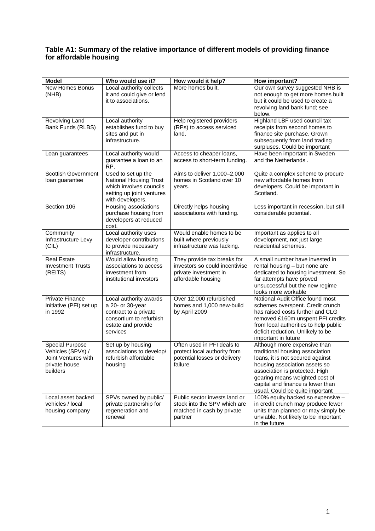#### **Table A1: Summary of the relative importance of different models of providing finance for affordable housing**

| <b>Model</b>                                                                                    | Who would use it?                                                                                                                | How would it help?                                                                                           | How important?                                                                                                                                                                                                                                                                   |
|-------------------------------------------------------------------------------------------------|----------------------------------------------------------------------------------------------------------------------------------|--------------------------------------------------------------------------------------------------------------|----------------------------------------------------------------------------------------------------------------------------------------------------------------------------------------------------------------------------------------------------------------------------------|
| New Homes Bonus<br>(NHB)                                                                        | Local authority collects<br>it and could give or lend<br>it to associations.                                                     | More homes built.                                                                                            | Our own survey suggested NHB is<br>not enough to get more homes built<br>but it could be used to create a<br>revolving land bank fund; see<br>below.                                                                                                                             |
| Revolving Land<br>Bank Funds (RLBS)                                                             | Local authority<br>establishes fund to buy<br>sites and put in<br>infrastructure.                                                | Help registered providers<br>(RPs) to access serviced<br>land.                                               | Highland LBF used council tax<br>receipts from second homes to<br>finance site purchase. Grown<br>subsequently from land trading<br>surpluses. Could be important                                                                                                                |
| Loan guarantees                                                                                 | Local authority would<br>guarantee a loan to an<br>RP.                                                                           | Access to cheaper loans,<br>access to short-term funding.                                                    | Have been important in Sweden<br>and the Netherlands.                                                                                                                                                                                                                            |
| <b>Scottish Government</b><br>loan guarantee                                                    | Used to set up the<br><b>National Housing Trust</b><br>which involves councils<br>setting up joint ventures<br>with developers.  | Aims to deliver 1,000-2,000<br>homes in Scotland over 10<br>years.                                           | Quite a complex scheme to procure<br>new affordable homes from<br>developers. Could be important in<br>Scotland.                                                                                                                                                                 |
| Section 106                                                                                     | Housing associations<br>purchase housing from<br>developers at reduced<br>cost.                                                  | Directly helps housing<br>associations with funding.                                                         | Less important in recession, but still<br>considerable potential.                                                                                                                                                                                                                |
| Community<br>Infrastructure Levy<br>(CIL)                                                       | Local authority uses<br>developer contributions<br>to provide necessary<br>infrastructure.                                       | Would enable homes to be<br>built where previously<br>infrastructure was lacking.                            | Important as applies to all<br>development, not just large<br>residential schemes.                                                                                                                                                                                               |
| <b>Real Estate</b><br><b>Investment Trusts</b><br>(REITS)                                       | Would allow housing<br>associations to access<br>investment from<br>institutional investors                                      | They provide tax breaks for<br>investors so could incentivise<br>private investment in<br>affordable housing | A small number have invested in<br>rental housing - but none are<br>dedicated to housing investment. So<br>far attempts have proved<br>unsuccessful but the new regime<br>looks more workable                                                                                    |
| <b>Private Finance</b><br>Initiative (PFI) set up<br>in 1992                                    | Local authority awards<br>a 20- or 30-year<br>contract to a private<br>consortium to refurbish<br>estate and provide<br>services | Over 12,000 refurbished<br>homes and 1,000 new-build<br>by April 2009                                        | National Audit Office found most<br>schemes overspent. Credit crunch<br>has raised costs further and CLG<br>removed £160m unspent PFI credits<br>from local authorities to help public<br>deficit reduction. Unlikely to be<br>important in future                               |
| <b>Special Purpose</b><br>Vehicles (SPVs) /<br>Joint Ventures with<br>private house<br>builders | Set up by housing<br>associations to develop/<br>refurbish affordable<br>housing                                                 | Often used in PFI deals to<br>protect local authority from<br>potential losses or delivery<br>failure        | Although more expensive than<br>traditional housing association<br>loans, it is not secured against<br>housing association assets so<br>association is protected. High<br>gearing means weighted cost of<br>capital and finance is lower than<br>usual. Could be quite important |
| Local asset backed<br>vehicles / local<br>housing company                                       | SPVs owned by public/<br>private partnership for<br>regeneration and<br>renewal                                                  | Public sector invests land or<br>stock into the SPV which are<br>matched in cash by private<br>partner       | 100% equity backed so expensive -<br>in credit crunch may produce fewer<br>units than planned or may simply be<br>unviable. Not likely to be important<br>in the future                                                                                                          |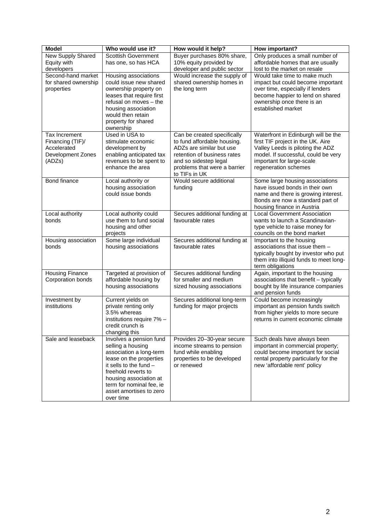| <b>Model</b>                                                                    | Who would use it?                                                                                                                                                                                                                                   | How would it help?                                                                                                                                                                              | How important?                                                                                                                                                                                           |
|---------------------------------------------------------------------------------|-----------------------------------------------------------------------------------------------------------------------------------------------------------------------------------------------------------------------------------------------------|-------------------------------------------------------------------------------------------------------------------------------------------------------------------------------------------------|----------------------------------------------------------------------------------------------------------------------------------------------------------------------------------------------------------|
| <b>New Supply Shared</b><br>Equity with                                         | <b>Scottish Government</b><br>has one, so has HCA                                                                                                                                                                                                   | Buyer purchases 80% share,<br>10% equity provided by                                                                                                                                            | Only produces a small number of<br>affordable homes that are usually                                                                                                                                     |
| developers                                                                      |                                                                                                                                                                                                                                                     | developer and public sector                                                                                                                                                                     | lost to the market on resale                                                                                                                                                                             |
| Second-hand market<br>for shared ownership<br>properties                        | Housing associations<br>could issue new shared<br>ownership property on<br>leases that require first<br>refusal on moves - the<br>housing association<br>would then retain<br>property for shared<br>ownership                                      | Would increase the supply of<br>shared ownership homes in<br>the long term                                                                                                                      | Would take time to make much<br>impact but could become important<br>over time, especially if lenders<br>become happier to lend on shared<br>ownership once there is an<br>established market            |
| Tax Increment<br>Financing (TIF)/<br>Accelerated<br>Development Zones<br>(ADZs) | Used in USA to<br>stimulate economic<br>development by<br>enabling anticipated tax<br>revenues to be spent to<br>enhance the area                                                                                                                   | Can be created specifically<br>to fund affordable housing.<br>ADZs are similar but use<br>retention of business rates<br>and so sidestep legal<br>problems that were a barrier<br>to TIFs in UK | Waterfront in Edinburgh will be the<br>first TIF project in the UK. Aire<br>Valley Leeds is piloting the ADZ<br>model. If successful, could be very<br>important for large-scale<br>regeneration schemes |
| Bond finance                                                                    | Local authority or<br>housing association<br>could issue bonds                                                                                                                                                                                      | Would secure additional<br>funding                                                                                                                                                              | Some large housing associations<br>have issued bonds in their own<br>name and there is growing interest.<br>Bonds are now a standard part of<br>housing finance in Austria                               |
| Local authority<br>bonds                                                        | Local authority could<br>use them to fund social<br>housing and other<br>projects                                                                                                                                                                   | Secures additional funding at<br>favourable rates                                                                                                                                               | <b>Local Government Association</b><br>wants to launch a Scandinavian-<br>type vehicle to raise money for<br>councils on the bond market                                                                 |
| Housing association<br>bonds                                                    | Some large individual<br>housing associations                                                                                                                                                                                                       | Secures additional funding at<br>favourable rates                                                                                                                                               | Important to the housing<br>associations that issue them -<br>typically bought by investor who put<br>them into illiquid funds to meet long-<br>term obligations                                         |
| <b>Housing Finance</b><br>Corporation bonds                                     | Targeted at provision of<br>affordable housing by<br>housing associations                                                                                                                                                                           | Secures additional funding<br>for smaller and medium<br>sized housing associations                                                                                                              | Again, important to the housing<br>associations that benefit - typically<br>bought by life insurance companies<br>and pension funds                                                                      |
| Investment by<br>institutions                                                   | Current yields on<br>private renting only<br>3.5% whereas<br>institutions require 7% -<br>credit crunch is<br>changing this                                                                                                                         | Secures additional long-term<br>funding for major projects                                                                                                                                      | Could become increasingly<br>important as pension funds switch<br>from higher yields to more secure<br>returns in current economic climate                                                               |
| Sale and leaseback                                                              | Involves a pension fund<br>selling a housing<br>association a long-term<br>lease on the properties<br>it sells to the fund $-$<br>freehold reverts to<br>housing association at<br>term for nominal fee, ie<br>asset amortises to zero<br>over time | Provides 20-30-year secure<br>income streams to pension<br>fund while enabling<br>properties to be developed<br>or renewed                                                                      | Such deals have always been<br>important in commercial property;<br>could become important for social<br>rental property particularly for the<br>new 'affordable rent' policy                            |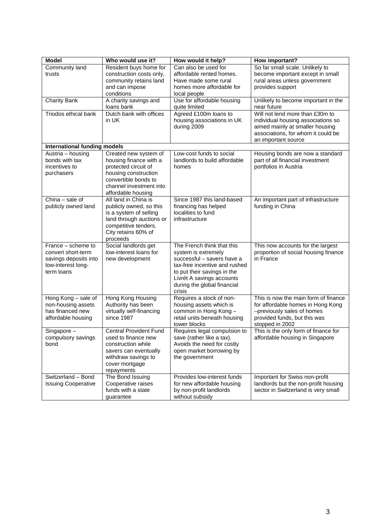| <b>Model</b>                        | Who would use it?                               | How would it help?                                                 | How important?                                                                                           |
|-------------------------------------|-------------------------------------------------|--------------------------------------------------------------------|----------------------------------------------------------------------------------------------------------|
| Community land                      | Resident buys home for                          | Can also be used for                                               | So far small scale. Unlikely to                                                                          |
| trusts                              | construction costs only,                        | affordable rented homes.                                           | become important except in small                                                                         |
|                                     | community retains land                          | Have made some rural                                               | rural areas unless government                                                                            |
|                                     | and can impose                                  | homes more affordable for                                          | provides support                                                                                         |
|                                     | conditions                                      | local people                                                       |                                                                                                          |
| <b>Charity Bank</b>                 | A charity savings and                           | Use for affordable housing                                         | Unlikely to become important in the                                                                      |
|                                     | loans bank                                      | quite limited                                                      | near future                                                                                              |
| Triodos ethical bank                | Dutch bank with offices<br>in UK                | Agreed £100m loans to<br>housing associations in UK<br>during 2009 | Will not lend more than £30m to<br>individual housing associations so<br>aimed mainly at smaller housing |
|                                     |                                                 |                                                                    | associations, for whom it could be<br>an important source                                                |
| <b>International funding models</b> |                                                 |                                                                    |                                                                                                          |
| Austria - housing                   | Created new system of                           | Low-cost funds to social                                           | Housing bonds are now a standard                                                                         |
| bonds with tax                      | housing finance with a                          | landlords to build affordable                                      | part of all financial investment                                                                         |
| incentives to                       | protected circuit of                            | homes                                                              | portfolios in Austria                                                                                    |
| purchasers                          | housing construction                            |                                                                    |                                                                                                          |
|                                     | convertible bonds to<br>channel investment into |                                                                    |                                                                                                          |
|                                     | affordable housing                              |                                                                    |                                                                                                          |
| China - sale of                     | All land in China is                            | Since 1987 this land-based                                         | An important part of infrastructure                                                                      |
| publicly owned land                 | publicly owned, so this                         | financing has helped                                               | funding in China                                                                                         |
|                                     | is a system of selling                          | localities to fund                                                 |                                                                                                          |
|                                     | land through auctions or                        | infrastructure                                                     |                                                                                                          |
|                                     | competitive tenders.                            |                                                                    |                                                                                                          |
|                                     | City retains 60% of                             |                                                                    |                                                                                                          |
|                                     | proceeds                                        |                                                                    |                                                                                                          |
| France – scheme to                  | Social landlords get                            | The French think that this                                         | This now accounts for the largest                                                                        |
| convert short-term                  | low-interest loans for                          | system is extremely                                                | proportion of social housing finance                                                                     |
| savings deposits into               | new development                                 | successful - savers have a                                         | in France                                                                                                |
| low-interest long-                  |                                                 | tax-free incentive and rushed                                      |                                                                                                          |
| term loans                          |                                                 | to put their savings in the                                        |                                                                                                          |
|                                     |                                                 | Livrét A savings accounts<br>during the global financial           |                                                                                                          |
|                                     |                                                 | crisis                                                             |                                                                                                          |
| Hong Kong - sale of                 | Hong Kong Housing                               | Requires a stock of non-                                           | This is now the main form of finance                                                                     |
| non-housing assets                  | Authority has been                              | housing assets which is                                            | for affordable homes in Hong Kong                                                                        |
| has financed new                    | virtually self-financing                        | common in Hong Kong -                                              | -previously sales of homes                                                                               |
| affordable housing                  | since 1987                                      | retail units beneath housing                                       | provided funds, but this was                                                                             |
|                                     |                                                 | tower blocks                                                       | stopped in 2002                                                                                          |
| Singapore -                         | <b>Central Provident Fund</b>                   | Requires legal compulsion to                                       | This is the only form of finance for                                                                     |
| compulsory savings                  | used to finance new                             | save (rather like a tax).                                          | affordable housing in Singapore                                                                          |
| bond                                | construction while                              | Avoids the need for costly                                         |                                                                                                          |
|                                     | savers can eventually                           | open market borrowing by                                           |                                                                                                          |
|                                     | withdraw savings to                             | the government                                                     |                                                                                                          |
|                                     | cover mortgage                                  |                                                                    |                                                                                                          |
| Switzerland - Bond                  | repayments<br>The Bond Issuing                  | Provides low-interest funds                                        | Important for Swiss non-profit                                                                           |
| <b>Issuing Cooperative</b>          | Cooperative raises                              | for new affordable housing                                         | landlords but the non-profit housing                                                                     |
|                                     | funds with a state                              | by non-profit landlords                                            | sector in Switzerland is very small                                                                      |
|                                     | guarantee                                       | without subsidy                                                    |                                                                                                          |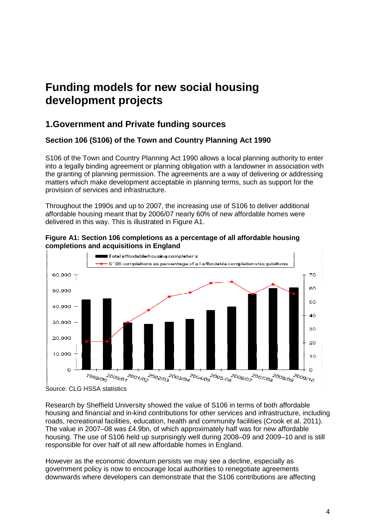# **Funding models for new social housing development projects**

# **1.Government and Private funding sources Government**

# **Section 106 (S106) of the Town and Country Planning Act 1990**

S106 of the Town and Country Planning Act 1990 allows a local planning authority to enter into a legally binding agreement or planning obligation with a landowner in association with the granting of planning permission. The agreements are a way of delivering or addressing matters which make development acceptable in planning terms, such as support for the provision of services and infrastructure.

Throughout the 1990s and up to 2007, the increasing use of S106 to deliver additional Throughout the 1990s and up to 2007, the increasing use of S106 to deliver additiona<br>affordable housing meant that by 2006/07 nearly 60% of new affordable homes were delivered in this way. This is illustrated in Figure A1.



**Figure A1: Section 106 completions as a percentage of all affordable housing completions and acquisitions in England**

Research by Sheffield University showed the value of S106 in terms of both affordable housing and financial and in-kind contributions for other services and infrastructure, including roads, recreational facilities, education, health and community facilities (Crook et al, 2011). The value in 2007–08 was £4.9bn, of which approximately half was for new affordable The value in 2007–08 was £4.9bn, of which approximately half was for new affordable<br>housing. The use of S106 held up surprisingly well during 2008–09 and 2009–10 and is still responsible for over half of all new affordable homes in England. other services and infrastructure,<br>community facilities (Crook et al,<br>iimately half was for new affordat<br>during 2008–09 and 2009–10 an<br>es in England.<br>ay see a decline, especially as<br>rities to renegotiate agreements

However as the economic downturn persists we may see a decline, especially as government policy is now to encourage local authorities to renegotiate agreements downwards where developers can demonstrate that the S106 contributions are affecting

Source: CLG HSSA statistics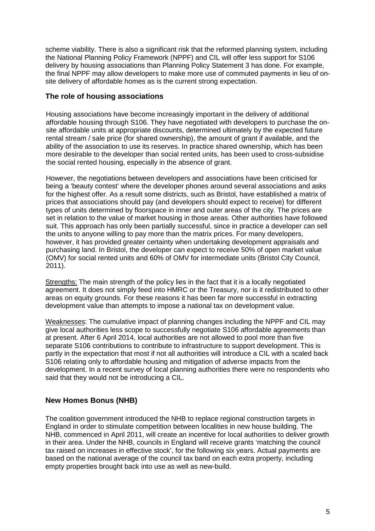scheme viability. There is also a significant risk that the reformed planning system, including the National Planning Policy Framework (NPPF) and CIL will offer less support for S106 delivery by housing associations than Planning Policy Statement 3 has done. For example, the final NPPF may allow developers to make more use of commuted payments in lieu of onsite delivery of affordable homes as is the current strong expectation.

## **The role of housing associations**

Housing associations have become increasingly important in the delivery of additional affordable housing through S106. They have negotiated with developers to purchase the onsite affordable units at appropriate discounts, determined ultimately by the expected future rental stream / sale price (for shared ownership), the amount of grant if available, and the ability of the association to use its reserves. In practice shared ownership, which has been more desirable to the developer than social rented units, has been used to cross-subsidise the social rented housing, especially in the absence of grant.

However, the negotiations between developers and associations have been criticised for being a 'beauty contest' where the developer phones around several associations and asks for the highest offer. As a result some districts, such as Bristol, have established a matrix of prices that associations should pay (and developers should expect to receive) for different types of units determined by floorspace in inner and outer areas of the city. The prices are set in relation to the value of market housing in those areas. Other authorities have followed suit. This approach has only been partially successful, since in practice a developer can sell the units to anyone willing to pay more than the matrix prices. For many developers, however, it has provided greater certainty when undertaking development appraisals and purchasing land. In Bristol, the developer can expect to receive 50% of open market value (OMV) for social rented units and 60% of OMV for intermediate units (Bristol City Council, 2011).

Strengths: The main strength of the policy lies in the fact that it is a locally negotiated agreement. It does not simply feed into HMRC or the Treasury, nor is it redistributed to other areas on equity grounds. For these reasons it has been far more successful in extracting development value than attempts to impose a national tax on development value.

Weaknesses: The cumulative impact of planning changes including the NPPF and CIL may give local authorities less scope to successfully negotiate S106 affordable agreements than at present. After 6 April 2014, local authorities are not allowed to pool more than five separate S106 contributions to contribute to infrastructure to support development. This is partly in the expectation that most if not all authorities will introduce a CIL with a scaled back S106 relating only to affordable housing and mitigation of adverse impacts from the development. In a recent survey of local planning authorities there were no respondents who said that they would not be introducing a CIL.

# **New Homes Bonus (NHB)**

The coalition government introduced the NHB to replace regional construction targets in England in order to stimulate competition between localities in new house building. The NHB, commenced in April 2011, will create an incentive for local authorities to deliver growth in their area. Under the NHB, councils in England will receive grants 'matching the council tax raised on increases in effective stock', for the following six years. Actual payments are based on the national average of the council tax band on each extra property, including empty properties brought back into use as well as new-build.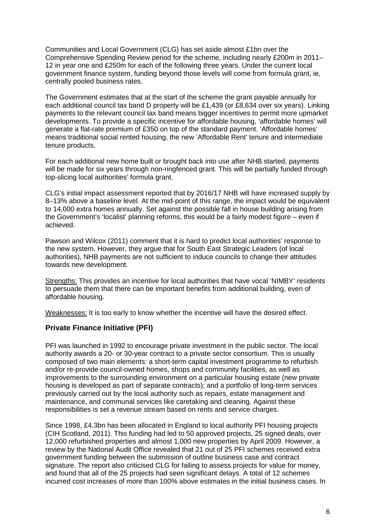Communities and Local Government (CLG) has set aside almost £1bn over the Comprehensive Spending Review period for the scheme, including nearly £200m in 2011– 12 in year one and £250m for each of the following three years. Under the current local government finance system, funding beyond those levels will come from formula grant, ie, centrally pooled business rates.

The Government estimates that at the start of the scheme the grant payable annually for each additional council tax band D property will be £1,439 (or £8,634 over six years). Linking payments to the relevant council tax band means bigger incentives to permit more upmarket developments. To provide a specific incentive for affordable housing, 'affordable homes' will generate a flat-rate premium of £350 on top of the standard payment. 'Affordable homes' means traditional social rented housing, the new 'Affordable Rent' tenure and intermediate tenure products.

For each additional new home built or brought back into use after NHB started, payments will be made for six years through non-ringfenced grant. This will be partially funded through top-slicing local authorities' formula grant.

CLG's initial impact assessment reported that by 2016/17 NHB will have increased supply by 8–13% above a baseline level. At the mid-point of this range, the impact would be equivalent to 14,000 extra homes annually. Set against the possible fall in house building arising from the Government's 'localist' planning reforms, this would be a fairly modest figure – even if achieved.

Pawson and Wilcox (2011) comment that it is hard to predict local authorities' response to the new system. However, they argue that for South East Strategic Leaders (of local authorities), NHB payments are not sufficient to induce councils to change their attitudes towards new development.

Strengths: This provides an incentive for local authorities that have vocal 'NIMBY' residents to persuade them that there can be important benefits from additional building, even of affordable housing.

Weaknesses: It is too early to know whether the incentive will have the desired effect.

#### **Private Finance Initiative (PFI)**

PFI was launched in 1992 to encourage private investment in the public sector. The local authority awards a 20- or 30-year contract to a private sector consortium. This is usually composed of two main elements: a short-term capital investment programme to refurbish and/or re-provide council-owned homes, shops and community facilities, as well as improvements to the surrounding environment on a particular housing estate (new private housing is developed as part of separate contracts); and a portfolio of long-term services previously carried out by the local authority such as repairs, estate management and maintenance, and communal services like caretaking and cleaning. Against these responsibilities is set a revenue stream based on rents and service charges.

Since 1998, £4.3bn has been allocated in England to local authority PFI housing projects (CIH Scotland, 2011). This funding had led to 50 approved projects, 25 signed deals, over 12,000 refurbished properties and almost 1,000 new properties by April 2009. However, a review by the National Audit Office revealed that 21 out of 25 PFI schemes received extra government funding between the submission of outline business case and contract signature. The report also criticised CLG for failing to assess projects for value for money, and found that all of the 25 projects had seen significant delays. A total of 12 schemes incurred cost increases of more than 100% above estimates in the initial business cases. In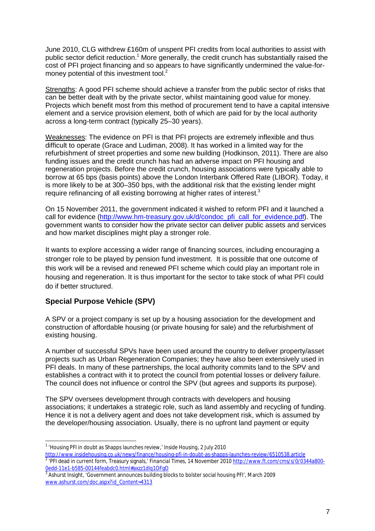June 2010, CLG withdrew £160m of unspent PFI credits from local authorities to assist with public sector deficit reduction.<sup>1</sup> More generally, the credit crunch has substantially raised the cost of PFI project financing and so appears to have significantly undermined the value-formoney potential of this investment tool. $2$ 

Strengths: A good PFI scheme should achieve a transfer from the public sector of risks that can be better dealt with by the private sector, whilst maintaining good value for money. Projects which benefit most from this method of procurement tend to have a capital intensive element and a service provision element, both of which are paid for by the local authority across a long-term contract (typically 25–30 years).

Weaknesses: The evidence on PFI is that PFI projects are extremely inflexible and thus difficult to operate (Grace and Ludiman, 2008). It has worked in a limited way for the refurbishment of street properties and some new building (Hodkinson, 2011). There are also funding issues and the credit crunch has had an adverse impact on PFI housing and regeneration projects. Before the credit crunch, housing associations were typically able to borrow at 65 bps (basis points) above the London Interbank Offered Rate (LIBOR). Today, it is more likely to be at 300–350 bps, with the additional risk that the existing lender might require refinancing of all existing borrowing at higher rates of interest.<sup>3</sup>

On 15 November 2011, the government indicated it wished to reform PFI and it launched a call for evidence [\(http://www.hm-treasury.gov.uk/d/condoc\\_pfi\\_call\\_for\\_evidence.pdf\)](http://www.hm-treasury.gov.uk/d/condoc_pfi_call_for_evidence.pdf). The government wants to consider how the private sector can deliver public assets and services and how market disciplines might play a stronger role.

It wants to explore accessing a wider range of financing sources, including encouraging a stronger role to be played by pension fund investment. It is possible that one outcome of this work will be a revised and renewed PFI scheme which could play an important role in housing and regeneration. It is thus important for the sector to take stock of what PFI could do if better structured.

# **Special Purpose Vehicle (SPV)**

A SPV or a project company is set up by a housing association for the development and construction of affordable housing (or private housing for sale) and the refurbishment of existing housing.

A number of successful SPVs have been used around the country to deliver property/asset projects such as Urban Regeneration Companies; they have also been extensively used in PFI deals. In many of these partnerships, the local authority commits land to the SPV and establishes a contract with it to protect the council from potential losses or delivery failure. The council does not influence or control the SPV (but agrees and supports its purpose).

The SPV oversees development through contracts with developers and housing associations; it undertakes a strategic role, such as land assembly and recycling of funding. Hence it is not a delivery agent and does not take development risk, which is assumed by the developer/housing association. Usually, there is no upfront land payment or equity

 1 'Housing PFI in doubt as Shapps launches review,' *Inside Housing*, 2 July 2010

<http://www.insidehousing.co.uk/news/finance/housing-pfi-in-doubt-as-shapps-launches-review/6510538.article> 2 'PFI dead in current form, Treasury signals,' *Financial Times*, 14 November 2010 [http://www.ft.com/cms/s/0/0344a800-](http://www.ft.com/cms/s/0/0344a800) 0edd-11e1-b585-00144feabdc0.html#axzz1dlq1OFgO

 $^3$  Ashurst Insight, 'Government announces building blocks to bolster social housing PFI', March 2009 [www.ashurst.com/doc.aspx?id\\_Content=4313](http://www.ashurst.com/doc.aspx?id_Content=4313)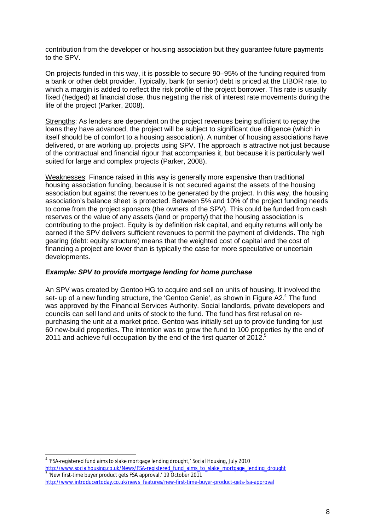contribution from the developer or housing association but they guarantee future payments to the SPV.

On projects funded in this way, it is possible to secure 90–95% of the funding required from a bank or other debt provider. Typically, bank (or senior) debt is priced at the LIBOR rate, to which a margin is added to reflect the risk profile of the project borrower. This rate is usually fixed (hedged) at financial close, thus negating the risk of interest rate movements during the life of the project (Parker, 2008).

Strengths: As lenders are dependent on the project revenues being sufficient to repay the loans they have advanced, the project will be subject to significant due diligence (which in itself should be of comfort to a housing association). A number of housing associations have delivered, or are working up, projects using SPV. The approach is attractive not just because of the contractual and financial rigour that accompanies it, but because it is particularly well suited for large and complex projects (Parker, 2008).

Weaknesses: Finance raised in this way is generally more expensive than traditional housing association funding, because it is not secured against the assets of the housing association but against the revenues to be generated by the project. In this way, the housing association's balance sheet is protected. Between 5% and 10% of the project funding needs to come from the project sponsors (the owners of the SPV). This could be funded from cash reserves or the value of any assets (land or property) that the housing association is contributing to the project. Equity is by definition risk capital, and equity returns will only be earned if the SPV delivers sufficient revenues to permit the payment of dividends. The high gearing (debt: equity structure) means that the weighted cost of capital and the cost of financing a project are lower than is typically the case for more speculative or uncertain developments.

#### *Example: SPV to provide mortgage lending for home purchase*

An SPV was created by Gentoo HG to acquire and sell on units of housing. It involved the set- up of a new funding structure, the 'Gentoo Genie', as shown in Figure A2.<sup>4</sup> The fund was approved by the Financial Services Authority. Social landlords, private developers and councils can sell land and units of stock to the fund. The fund has first refusal on repurchasing the unit at a market price. Gentoo was initially set up to provide funding for just 60 new-build properties. The intention was to grow the fund to 100 properties by the end of 2011 and achieve full occupation by the end of the first quarter of 2012.<sup>5</sup>

4 'FSA-registered fund aims to slake mortgage lending drought,' *Social Housing*, July 2010 [http://www.socialhousing.co.uk/News/FSA-registered\\_fund\\_aims\\_to\\_slake\\_mortgage\\_lending\\_drought](http://www.socialhousing.co.uk/News/FSA-registered_fund_aims_to_slake_mortgage_lending_drought) <sup>5</sup> 'New first-time buyer product gets FSA approval,' 19 October 2011 [http://www.introducertoday.co.uk/news\\_features/new-first-time-buyer-product-gets-fsa-approval](http://www.introducertoday.co.uk/news_features/new-first-time-buyer-product-gets-fsa-approval)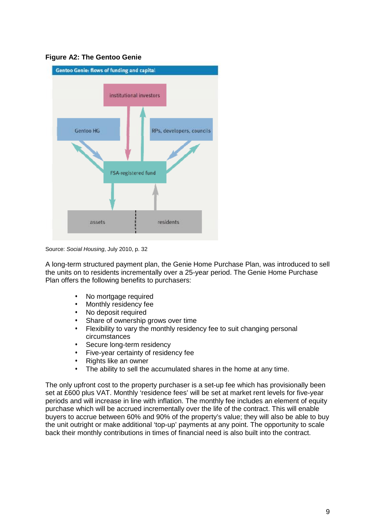#### **Figure A2: The Gentoo Genie**



Source: *Social Housing*, July 2010, p. 32

A long-term structured payment plan, the Genie Home Purchase Plan, was introduced to sell the units on to residents incrementally over a 25-year period. The Genie Home Purchase Plan offers the following benefits to purchasers:

- No mortgage required
- Monthly residency fee
- No deposit required
- Share of ownership grows over time
- Flexibility to vary the monthly residency fee to suit changing personal circumstances
- Secure long-term residency
- Five-year certainty of residency fee
- Rights like an owner
- The ability to sell the accumulated shares in the home at any time.

The only upfront cost to the property purchaser is a set-up fee which has provisionally been set at £600 plus VAT. Monthly 'residence fees' will be set at market rent levels for five-year periods and will increase in line with inflation. The monthly fee includes an element of equity purchase which will be accrued incrementally over the life of the contract. This will enable buyers to accrue between 60% and 90% of the property's value; they will also be able to buy the unit outright or make additional 'top-up' payments at any point. The opportunity to scale back their monthly contributions in times of financial need is also built into the contract.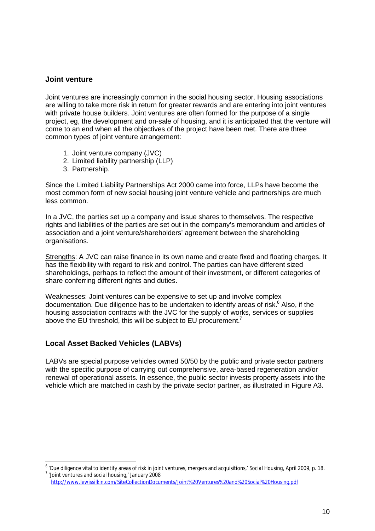#### **Joint venture**

Joint ventures are increasingly common in the social housing sector. Housing associations are willing to take more risk in return for greater rewards and are entering into joint ventures with private house builders. Joint ventures are often formed for the purpose of a single project, eg, the development and on-sale of housing, and it is anticipated that the venture will come to an end when all the objectives of the project have been met. There are three common types of joint venture arrangement:

- 1. Joint venture company (JVC)
- 2. Limited liability partnership (LLP)
- 3. Partnership.

Since the Limited Liability Partnerships Act 2000 came into force, LLPs have become the most common form of new social housing joint venture vehicle and partnerships are much less common.

In a JVC, the parties set up a company and issue shares to themselves. The respective rights and liabilities of the parties are set out in the company's memorandum and articles of association and a joint venture/shareholders' agreement between the shareholding organisations.

Strengths: A JVC can raise finance in its own name and create fixed and floating charges. It has the flexibility with regard to risk and control. The parties can have different sized shareholdings, perhaps to reflect the amount of their investment, or different categories of share conferring different rights and duties.

Weaknesses: Joint ventures can be expensive to set up and involve complex documentation. Due diligence has to be undertaken to identify areas of risk. $<sup>6</sup>$  Also, if the</sup> housing association contracts with the JVC for the supply of works, services or supplies above the EU threshold, this will be subject to EU procurement.<sup>7</sup>

# **Local Asset Backed Vehicles (LABVs)**

LABVs are special purpose vehicles owned 50/50 by the public and private sector partners with the specific purpose of carrying out comprehensive, area-based regeneration and/or renewal of operational assets. In essence, the public sector invests property assets into the vehicle which are matched in cash by the private sector partner, as illustrated in Figure A3.

 6 'Due diligence vital to identify areas of risk in joint ventures, mergers and acquisitions,' *Social Housing*, April 2009, p. 18. <sup>7</sup> 'Joint ventures and social housing,' January 2008

<http://www.lewissilkin.com/SiteCollectionDocuments/Joint%20Ventures%20and%20Social%20Housing.pdf>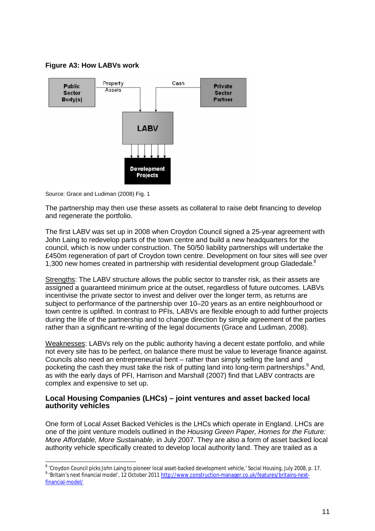### **Figure A3: How LABVs work**



Source: Grace and Ludiman (2008) Fig. 1

The partnership may then use these assets as collateral to raise debt financing to develop and regenerate the portfolio.

The first LABV was set up in 2008 when Croydon Council signed a 25-year agreement with John Laing to redevelop parts of the town centre and build a new headquarters for the council, which is now under construction. The 50/50 liability partnerships will undertake the £450m regeneration of part of Croydon town centre. Development on four sites will see over 1,300 new homes created in partnership with residential development group Gladedale.<sup>8</sup>

Strengths: The LABV structure allows the public sector to transfer risk, as their assets are assigned a guaranteed minimum price at the outset, regardless of future outcomes. LABVs incentivise the private sector to invest and deliver over the longer term, as returns are subject to performance of the partnership over 10–20 years as an entire neighbourhood or town centre is uplifted. In contrast to PFIs, LABVs are flexible enough to add further projects during the life of the partnership and to change direction by simple agreement of the parties rather than a significant re-writing of the legal documents (Grace and Ludiman, 2008).

Weaknesses: LABVs rely on the public authority having a decent estate portfolio, and while not every site has to be perfect, on balance there must be value to leverage finance against. Councils also need an entrepreneurial bent – rather than simply selling the land and pocketing the cash they must take the risk of putting land into long-term partnerships.<sup>9</sup> And, as with the early days of PFI, Harrison and Marshall (2007) find that LABV contracts are complex and expensive to set up.

#### **Local Housing Companies (LHCs) – joint ventures and asset backed local authority vehicles**

One form of Local Asset Backed Vehicles is the LHCs which operate in England. LHCs are one of the joint venture models outlined in the *Housing Green Paper, Homes for the Future: More Affordable, More Sustainable*, in July 2007. They are also a form of asset backed local authority vehicle specifically created to develop local authority land. They are trailed as a

 8 'Croydon Council picks John Laing to pioneer local asset-backed development vehicle,' *Social Housing*, July 2008, p. 17. <sup>9</sup> 'Britain's next financial model', 12 October 2011 <u>http://www.construction-manager.co.uk/features/britains-next-</u> financial-model/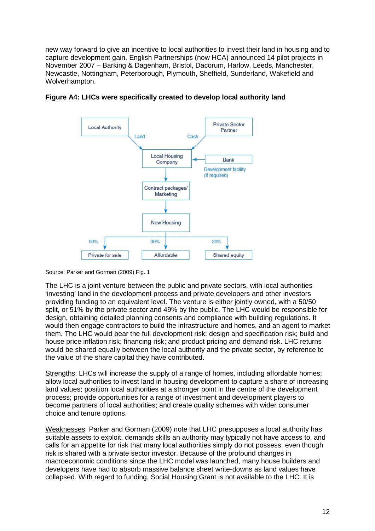new way forward to give an incentive to local authorities to invest their land in housing and to capture development gain. English Partnerships (now HCA) announced 14 pilot projects in November 2007 – Barking & Dagenham, Bristol, Dacorum, Harlow, Leeds, Manchester, Newcastle, Nottingham, Peterborough, Plymouth, Sheffield, Sunderland, Wakefield and Wolverhampton.



#### **Figure A4: LHCs were specifically created to develop local authority land**

Source: Parker and Gorman (2009) Fig. 1

The LHC is a joint venture between the public and private sectors, with local authorities 'investing' land in the development process and private developers and other investors providing funding to an equivalent level. The venture is either jointly owned, with a 50/50 split, or 51% by the private sector and 49% by the public. The LHC would be responsible for design, obtaining detailed planning consents and compliance with building regulations. It would then engage contractors to build the infrastructure and homes, and an agent to market them. The LHC would bear the full development risk: design and specification risk; build and house price inflation risk; financing risk; and product pricing and demand risk. LHC returns would be shared equally between the local authority and the private sector, by reference to the value of the share capital they have contributed.

Strengths: LHCs will increase the supply of a range of homes, including affordable homes; allow local authorities to invest land in housing development to capture a share of increasing land values; position local authorities at a stronger point in the centre of the development process; provide opportunities for a range of investment and development players to become partners of local authorities; and create quality schemes with wider consumer choice and tenure options.

Weaknesses: Parker and Gorman (2009) note that LHC presupposes a local authority has suitable assets to exploit, demands skills an authority may typically not have access to, and calls for an appetite for risk that many local authorities simply do not possess, even though risk is shared with a private sector investor. Because of the profound changes in macroeconomic conditions since the LHC model was launched, many house builders and developers have had to absorb massive balance sheet write-downs as land values have collapsed. With regard to funding, Social Housing Grant is not available to the LHC. It is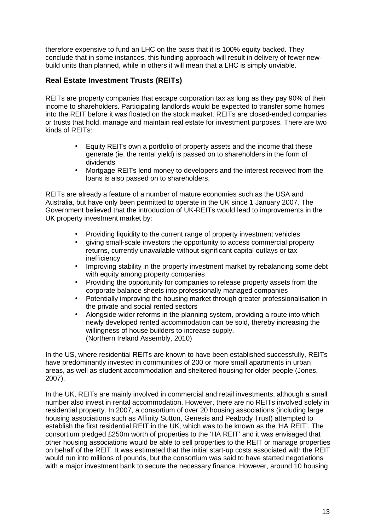therefore expensive to fund an LHC on the basis that it is 100% equity backed. They conclude that in some instances, this funding approach will result in delivery of fewer newbuild units than planned, while in others it will mean that a LHC is simply unviable.

## **Real Estate Investment Trusts (REITs)**

REITs are property companies that escape corporation tax as long as they pay 90% of their income to shareholders. Participating landlords would be expected to transfer some homes into the REIT before it was floated on the stock market. REITs are closed-ended companies or trusts that hold, manage and maintain real estate for investment purposes. There are two kinds of REITs:

- Equity REITs own a portfolio of property assets and the income that these generate (ie, the rental yield) is passed on to shareholders in the form of dividends
- Mortgage REITs lend money to developers and the interest received from the loans is also passed on to shareholders.

REITs are already a feature of a number of mature economies such as the USA and Australia, but have only been permitted to operate in the UK since 1 January 2007. The Government believed that the introduction of UK-REITs would lead to improvements in the UK property investment market by:

- Providing liquidity to the current range of property investment vehicles
- giving small-scale investors the opportunity to access commercial property returns, currently unavailable without significant capital outlays or tax inefficiency
- Improving stability in the property investment market by rebalancing some debt with equity among property companies
- Providing the opportunity for companies to release property assets from the corporate balance sheets into professionally managed companies
- Potentially improving the housing market through greater professionalisation in the private and social rented sectors
- Alongside wider reforms in the planning system, providing a route into which newly developed rented accommodation can be sold, thereby increasing the willingness of house builders to increase supply. (Northern Ireland Assembly, 2010)

In the US, where residential REITs are known to have been established successfully, REITs have predominantly invested in communities of 200 or more small apartments in urban areas, as well as student accommodation and sheltered housing for older people (Jones, 2007).

In the UK, REITs are mainly involved in commercial and retail investments, although a small number also invest in rental accommodation. However, there are no REITs involved solely in residential property. In 2007, a consortium of over 20 housing associations (including large housing associations such as Affinity Sutton, Genesis and Peabody Trust) attempted to establish the first residential REIT in the UK, which was to be known as the 'HA REIT'. The consortium pledged £250m worth of properties to the 'HA REIT' and it was envisaged that other housing associations would be able to sell properties to the REIT or manage properties on behalf of the REIT. It was estimated that the initial start-up costs associated with the REIT would run into millions of pounds, but the consortium was said to have started negotiations with a major investment bank to secure the necessary finance. However, around 10 housing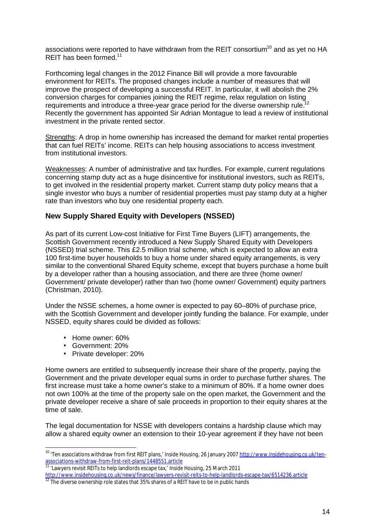associations were reported to have withdrawn from the REIT consortium<sup>10</sup> and as yet no HA REIT has been formed.<sup>11</sup>

Forthcoming legal changes in the 2012 Finance Bill will provide a more favourable environment for REITs. The proposed changes include a number of measures that will improve the prospect of developing a successful REIT. In particular, it will abolish the 2% Improve the prospect of acveraging a cacceder of the REIT regime, relax regulation on listing<br>conversion charges for companies joining the REIT regime, relax regulation on listing requirements and introduce a three-year grace period for the diverse ownership rule. Recently the government has appointed Sir Adrian Montague to lead a review of institutional investment in the private rented sector.

Strengths: A drop in home ownership has increased the demand for market rental properties that can fuel REITs' income. REITs can help housing associations to access investment from institutional investors.

Weaknesses: A number of administrative and tax hurdles. For example, current regulations concerning stamp duty act as a huge disincentive for institutional investors, such as REITs, to get involved in the residential property market. Current stamp duty policy means that a single investor who buys a number of residential properties must pay stamp duty at a higher rate than investors who buy one residential property each.

#### **New Supply Shared Equity with Developers (NSSED)**

As part of its current Low-cost Initiative for First Time Buyers (LIFT) arrangements, the Scottish Government recently introduced a New Supply Shared Equity with Developers (NSSED) trial scheme. This £2.5 million trial scheme, which is expected to allow an extra 100 first-time buyer households to buy a home under shared equity arrangements, is very similar to the conventional Shared Equity scheme, except that buyers purchase a home built by a developer rather than a housing association, and there are three (home owner/ Government/ private developer) rather than two (home owner/ Government) equity partners (Christman, 2010).

Under the NSSE schemes, a home owner is expected to pay 60–80% of purchase price, with the Scottish Government and developer jointly funding the balance. For example, under NSSED, equity shares could be divided as follows:

- Home owner: 60%
- Government: 20%

• Private developer: 20%

Home owners are entitled to subsequently increase their share of the property, paying the Government and the private developer equal sums in order to purchase further shares. The first increase must take a home owner's stake to a minimum of 80%. If a home owner does not own 100% at the time of the property sale on the open market, the Government and the private developer receive a share of sale proceeds in proportion to their equity shares at the time of sale.

The legal documentation for NSSE with developers contains a hardship clause which may allow a shared equity owner an extension to their 10-year agreement if they have not been

<sup>&</sup>lt;sup>10</sup> 'Ten associations withdraw from first REIT plans,' *Inside Housing*, 26 January 2007 <u>http://www.insidehousing.co.uk/ten-</u> associations-withdraw-from-first-reit-plans/1448551.article

<sup>&</sup>lt;sup>11</sup> 'Lawyers revisit REITs to help landlords escape tax,' *Inside Housing*, 25 March 2011

<http://www.insidehousing.co.uk/news/finance/lawyers-revisit-reits-to-help-landlords-escape-tax/6514236.article>  $12$  The diverse ownership role states that 35% shares of a REIT have to be in public hands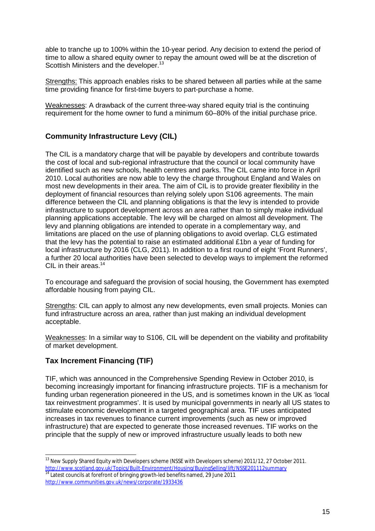able to tranche up to 100% within the 10-year period. Any decision to extend the period of time to allow a shared equity owner to repay the amount owed will be at the discretion of Scottish Ministers and the developer.<sup>13</sup>

Strengths: This approach enables risks to be shared between all parties while at the same time providing finance for first-time buyers to part-purchase a home.

Weaknesses: A drawback of the current three-way shared equity trial is the continuing requirement for the home owner to fund a minimum 60–80% of the initial purchase price.

# **Community Infrastructure Levy (CIL)**

The CIL is a mandatory charge that will be payable by developers and contribute towards the cost of local and sub-regional infrastructure that the council or local community have identified such as new schools, health centres and parks. The CIL came into force in April 2010. Local authorities are now able to levy the charge throughout England and Wales on most new developments in their area. The aim of CIL is to provide greater flexibility in the deployment of financial resources than relying solely upon S106 agreements. The main difference between the CIL and planning obligations is that the levy is intended to provide infrastructure to support development across an area rather than to simply make individual planning applications acceptable. The levy will be charged on almost all development. The levy and planning obligations are intended to operate in a complementary way, and limitations are placed on the use of planning obligations to avoid overlap. CLG estimated that the levy has the potential to raise an estimated additional £1bn a year of funding for local infrastructure by 2016 (CLG, 2011). In addition to a first round of eight 'Front Runners', a further 20 local authorities have been selected to develop ways to implement the reformed CIL in their areas.<sup>14</sup>

To encourage and safeguard the provision of social housing, the Government has exempted affordable housing from paying CIL.

Strengths: CIL can apply to almost any new developments, even small projects. Monies can fund infrastructure across an area, rather than just making an individual development acceptable.

Weaknesses: In a similar way to S106, CIL will be dependent on the viability and profitability of market development.

# **Tax Increment Financing (TIF)**

TIF, which was announced in the Comprehensive Spending Review in October 2010, is becoming increasingly important for financing infrastructure projects. TIF is a mechanism for funding urban regeneration pioneered in the US, and is sometimes known in the UK as 'local tax reinvestment programmes'. It is used by municipal governments in nearly all US states to stimulate economic development in a targeted geographical area. TIF uses anticipated increases in tax revenues to finance current improvements (such as new or improved infrastructure) that are expected to generate those increased revenues. TIF works on the principle that the supply of new or improved infrastructure usually leads to both new

 <sup>13</sup> New Supply Shared Equity with Developers scheme (NSSE with Developers scheme) 2011/12, 27 October 2011. <http://www.scotland.gov.uk/Topics/Built-Environment/Housing/BuyingSelling/lift/NSSE201112summary>

 $14$  Latest councils at forefront of bringing growth-led benefits named, 29 June 2011 <http://www.communities.gov.uk/news/corporate/1933436>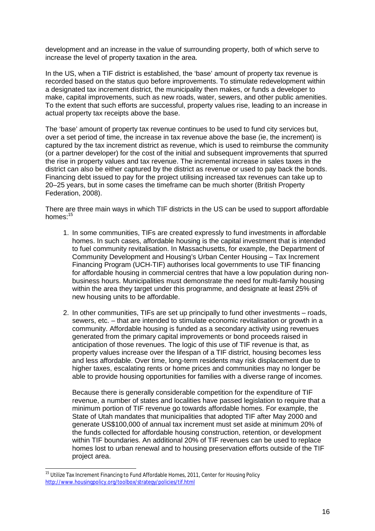development and an increase in the value of surrounding property, both of which serve to increase the level of property taxation in the area.

In the US, when a TIF district is established, the 'base' amount of property tax revenue is recorded based on the status quo before improvements. To stimulate redevelopment within a designated tax increment district, the municipality then makes, or funds a developer to make, capital improvements, such as new roads, water, sewers, and other public amenities. To the extent that such efforts are successful, property values rise, leading to an increase in actual property tax receipts above the base.

The 'base' amount of property tax revenue continues to be used to fund city services but, over a set period of time, the increase in tax revenue above the base (ie, the increment) is captured by the tax increment district as revenue, which is used to reimburse the community (or a partner developer) for the cost of the initial and subsequent improvements that spurred the rise in property values and tax revenue. The incremental increase in sales taxes in the district can also be either captured by the district as revenue or used to pay back the bonds. Financing debt issued to pay for the project utilising increased tax revenues can take up to 20–25 years, but in some cases the timeframe can be much shorter (British Property Federation, 2008).

There are three main ways in which TIF districts in the US can be used to support affordable homes:<sup>15</sup>

- 1. In some communities, TIFs are created expressly to fund investments in affordable homes. In such cases, affordable housing is the capital investment that is intended to fuel community revitalisation. In Massachusetts, for example, the Department of Community Development and Housing's Urban Center Housing – Tax Increment Financing Program (UCH-TIF) authorises local governments to use TIF financing for affordable housing in commercial centres that have a low population during nonbusiness hours. Municipalities must demonstrate the need for multi-family housing within the area they target under this programme, and designate at least 25% of new housing units to be affordable.
- 2. In other communities, TIFs are set up principally to fund other investments roads, sewers, etc. – that are intended to stimulate economic revitalisation or growth in a community. Affordable housing is funded as a secondary activity using revenues generated from the primary capital improvements or bond proceeds raised in anticipation of those revenues. The logic of this use of TIF revenue is that, as property values increase over the lifespan of a TIF district, housing becomes less and less affordable. Over time, long-term residents may risk displacement due to higher taxes, escalating rents or home prices and communities may no longer be able to provide housing opportunities for families with a diverse range of incomes.

Because there is generally considerable competition for the expenditure of TIF revenue, a number of states and localities have passed legislation to require that a minimum portion of TIF revenue go towards affordable homes. For example, the State of Utah mandates that municipalities that adopted TIF after May 2000 and generate US\$100,000 of annual tax increment must set aside at minimum 20% of the funds collected for affordable housing construction, retention, or development within TIF boundaries. An additional 20% of TIF revenues can be used to replace homes lost to urban renewal and to housing preservation efforts outside of the TIF project area.

 $\overline{a}$ 

<sup>&</sup>lt;sup>15</sup> Utilize Tax Increment Financing to Fund Affordable Homes, 2011, Center for Housing Policy <http://www.housingpolicy.org/toolbox/strategy/policies/tif.html>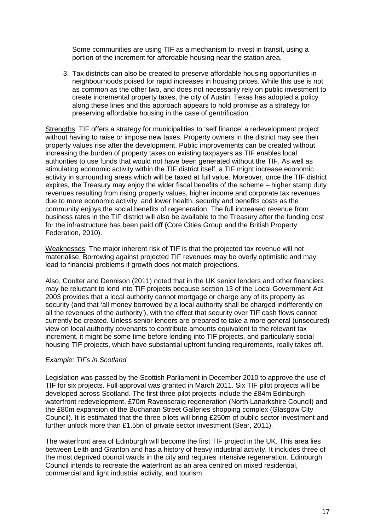Some communities are using TIF as a mechanism to invest in transit, using a portion of the increment for affordable housing near the station area.

3. Tax districts can also be created to preserve affordable housing opportunities in neighbourhoods poised for rapid increases in housing prices. While this use is not as common as the other two, and does not necessarily rely on public investment to create incremental property taxes, the city of Austin, Texas has adopted a policy along these lines and this approach appears to hold promise as a strategy for preserving affordable housing in the case of gentrification.

Strengths: TIF offers a strategy for municipalities to 'self finance' a redevelopment project without having to raise or impose new taxes. Property owners in the district may see their property values rise after the development. Public improvements can be created without increasing the burden of property taxes on existing taxpayers as TIF enables local authorities to use funds that would not have been generated without the TIF. As well as stimulating economic activity within the TIF district itself, a TIF might increase economic activity in surrounding areas which will be taxed at full value. Moreover, once the TIF district expires, the Treasury may enjoy the wider fiscal benefits of the scheme – higher stamp duty revenues resulting from rising property values, higher income and corporate tax revenues due to more economic activity, and lower health, security and benefits costs as the community enjoys the social benefits of regeneration. The full increased revenue from business rates in the TIF district will also be available to the Treasury after the funding cost for the infrastructure has been paid off (Core Cities Group and the British Property Federation, 2010).

Weaknesses: The major inherent risk of TIF is that the projected tax revenue will not materialise. Borrowing against projected TIF revenues may be overly optimistic and may lead to financial problems if growth does not match projections.

Also, Coulter and Dennison (2011) noted that in the UK senior lenders and other financiers may be reluctant to lend into TIF projects because section 13 of the Local Government Act 2003 provides that a local authority cannot mortgage or charge any of its property as security (and that 'all money borrowed by a local authority shall be charged indifferently on all the revenues of the authority'), with the effect that security over TIF cash flows cannot currently be created. Unless senior lenders are prepared to take a more general (unsecured) view on local authority covenants to contribute amounts equivalent to the relevant tax increment, it might be some time before lending into TIF projects, and particularly social housing TIF projects, which have substantial upfront funding requirements, really takes off.

#### *Example: TIFs in Scotland*

Legislation was passed by the Scottish Parliament in December 2010 to approve the use of TIF for six projects. Full approval was granted in March 2011. Six TIF pilot projects will be developed across Scotland. The first three pilot projects include the £84m Edinburgh waterfront redevelopment, £70m Ravenscraig regeneration (North Lanarkshire Council) and the £80m expansion of the Buchanan Street Galleries shopping complex (Glasgow City Council). It is estimated that the three pilots will bring £250m of public sector investment and further unlock more than £1.5bn of private sector investment (Sear, 2011).

The waterfront area of Edinburgh will become the first TIF project in the UK. This area lies between Leith and Granton and has a history of heavy industrial activity. It includes three of the most deprived council wards in the city and requires intensive regeneration. Edinburgh Council intends to recreate the waterfront as an area centred on mixed residential, commercial and light industrial activity, and tourism.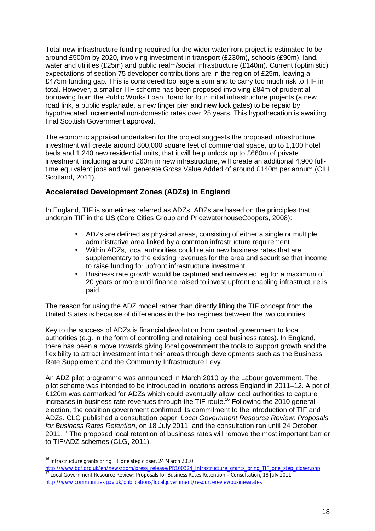Total new infrastructure funding required for the wider waterfront project is estimated to be around £500m by 2020, involving investment in transport (£230m), schools (£90m), land, water and utilities (£25m) and public realm/social infrastructure (£140m). Current (optimistic) expectations of section 75 developer contributions are in the region of £25m, leaving a £475m funding gap. This is considered too large a sum and to carry too much risk to TIF in total. However, a smaller TIF scheme has been proposed involving £84m of prudential borrowing from the Public Works Loan Board for four initial infrastructure projects (a new road link, a public esplanade, a new finger pier and new lock gates) to be repaid by hypothecated incremental non-domestic rates over 25 years. This hypothecation is awaiting final Scottish Government approval.

The economic appraisal undertaken for the project suggests the proposed infrastructure investment will create around 800,000 square feet of commercial space, up to 1,100 hotel beds and 1,240 new residential units, that it will help unlock up to £660m of private investment, including around £60m in new infrastructure, will create an additional 4,900 fulltime equivalent jobs and will generate Gross Value Added of around £140m per annum (CIH Scotland, 2011).

# **Accelerated Development Zones (ADZs) in England**

In England, TIF is sometimes referred as ADZs. ADZs are based on the principles that underpin TIF in the US (Core Cities Group and PricewaterhouseCoopers, 2008):

- ADZs are defined as physical areas, consisting of either a single or multiple administrative area linked by a common infrastructure requirement
- Within ADZs, local authorities could retain new business rates that are supplementary to the existing revenues for the area and securitise that income to raise funding for upfront infrastructure investment
- Business rate growth would be captured and reinvested, eg for a maximum of 20 years or more until finance raised to invest upfront enabling infrastructure is paid.

The reason for using the ADZ model rather than directly lifting the TIF concept from the United States is because of differences in the tax regimes between the two countries.

Key to the success of ADZs is financial devolution from central government to local authorities (e.g. in the form of controlling and retaining local business rates). In England, there has been a move towards giving local government the tools to support growth and the flexibility to attract investment into their areas through developments such as the Business Rate Supplement and the Community Infrastructure Levy.

An ADZ pilot programme was announced in March 2010 by the Labour government. The pilot scheme was intended to be introduced in locations across England in 2011–12. A pot of £120m was earmarked for ADZs which could eventually allow local authorities to capture increases in business rate revenues through the TIF route.<sup>16</sup> Following the 2010 general election, the coalition government confirmed its commitment to the introduction of TIF and ADZs. CLG published a consultation paper, *Local Government Resource Review: Proposals for Business Rates Retention*, on 18 July 2011, and the consultation ran until 24 October 2011.<sup>17</sup> The proposed local retention of business rates will remove the most important barrier to TIF/ADZ schemes (CLG, 2011).

  $^{16}$  Infrastructure grants bring TIF one step closer, 24 March 2010

[http://www.bpf.org.uk/en/newsroom/press\\_release/PR100324\\_Infrastructure\\_grants\\_bring\\_TIF\\_one\\_step\\_closer.php](http://www.bpf.org.uk/en/newsroom/press_release/PR100324_Infrastructure_grants_bring_TIF_one_step_closer.php)  $\frac{17}{17}$  Local Government Resource Review: Proposals for Business Rates Retention – Consultation, 18 July 2011 <http://www.communities.gov.uk/publications/localgovernment/resourcereviewbusinessrates>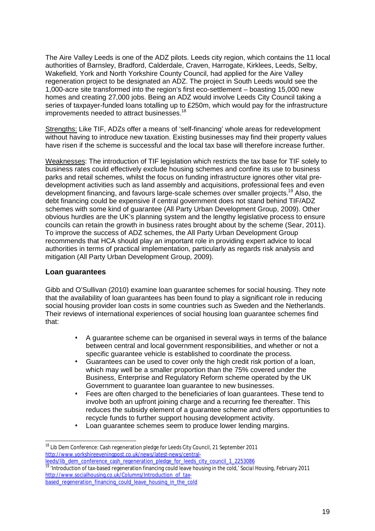The Aire Valley Leeds is one of the ADZ pilots. Leeds city region, which contains the 11 local authorities of Barnsley, Bradford, Calderdale, Craven, Harrogate, Kirklees, Leeds, Selby, Wakefield, York and North Yorkshire County Council, had applied for the Aire Valley regeneration project to be designated an ADZ. The project in South Leeds would see the 1,000-acre site transformed into the region's first eco-settlement – boasting 15,000 new homes and creating 27,000 jobs. Being an ADZ would involve Leeds City Council taking a series of taxpayer-funded loans totalling up to £250m, which would pay for the infrastructure improvements needed to attract businesses.<sup>18</sup>

Strengths: Like TIF, ADZs offer a means of 'self-financing' whole areas for redevelopment without having to introduce new taxation. Existing businesses may find their property values have risen if the scheme is successful and the local tax base will therefore increase further.

Weaknesses: The introduction of TIF legislation which restricts the tax base for TIF solely to business rates could effectively exclude housing schemes and confine its use to business parks and retail schemes, whilst the focus on funding infrastructure ignores other vital predevelopment activities such as land assembly and acquisitions, professional fees and even development financing, and favours large-scale schemes over smaller projects.<sup>19</sup> Also, the debt financing could be expensive if central government does not stand behind TIF/ADZ schemes with some kind of guarantee (All Party Urban Development Group, 2009). Other obvious hurdles are the UK's planning system and the lengthy legislative process to ensure councils can retain the growth in business rates brought about by the scheme (Sear, 2011). To improve the success of ADZ schemes, the All Party Urban Development Group recommends that HCA should play an important role in providing expert advice to local authorities in terms of practical implementation, particularly as regards risk analysis and mitigation (All Party Urban Development Group, 2009).

#### **Loan guarantees**

Gibb and O'Sullivan (2010) examine loan guarantee schemes for social housing. They note that the availability of loan guarantees has been found to play a significant role in reducing social housing provider loan costs in some countries such as Sweden and the Netherlands. Their reviews of international experiences of social housing loan guarantee schemes find that:

- A guarantee scheme can be organised in several ways in terms of the balance between central and local government responsibilities, and whether or not a specific guarantee vehicle is established to coordinate the process.
- Guarantees can be used to cover only the high credit risk portion of a loan, which may well be a smaller proportion than the 75% covered under the Business, Enterprise and Regulatory Reform scheme operated by the UK Government to guarantee loan guarantee to new businesses.
- Fees are often charged to the beneficiaries of loan guarantees. These tend to involve both an upfront joining charge and a recurring fee thereafter. This reduces the subsidy element of a guarantee scheme and offers opportunities to recycle funds to further support housing development activity.
- Loan guarantee schemes seem to produce lower lending margins.

<sup>19</sup> 'Introduction of tax-based regeneration financing could leave housing in the cold,' *Social Housing*, February 2011 [http://www.socialhousing.co.uk/Columns/Introduction\\_of\\_tax](http://www.socialhousing.co.uk/Columns/Introduction_of_tax)based\_regeneration\_financing\_could\_leave\_housing\_in\_the\_cold

 $\overline{a}$ <sup>18</sup> Lib Dem Conference: Cash regeneration pledge for Leeds City Council, 21 September 2011 <http://www.yorkshireeveningpost.co.uk/news/latest-news/central>leeds/lib\_dem\_conference\_cash\_regeneration\_pledge\_for\_leeds\_city\_council\_1\_2253086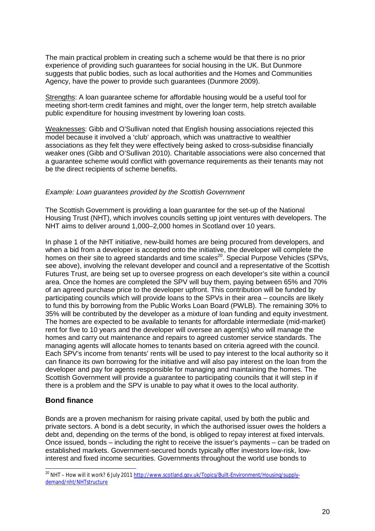The main practical problem in creating such a scheme would be that there is no prior experience of providing such guarantees for social housing in the UK. But Dunmore suggests that public bodies, such as local authorities and the Homes and Communities Agency, have the power to provide such guarantees (Dunmore 2009).

Strengths: A loan guarantee scheme for affordable housing would be a useful tool for meeting short-term credit famines and might, over the longer term, help stretch available public expenditure for housing investment by lowering loan costs.

Weaknesses: Gibb and O'Sullivan noted that English housing associations rejected this model because it involved a 'club' approach, which was unattractive to wealthier associations as they felt they were effectively being asked to cross-subsidise financially weaker ones (Gibb and O'Sullivan 2010). Charitable associations were also concerned that a guarantee scheme would conflict with governance requirements as their tenants may not be the direct recipients of scheme benefits.

#### *Example: Loan guarantees provided by the Scottish Government*

The Scottish Government is providing a loan guarantee for the set-up of the National Housing Trust (NHT), which involves councils setting up joint ventures with developers. The NHT aims to deliver around 1,000–2,000 homes in Scotland over 10 years.

In phase 1 of the NHT initiative, new-build homes are being procured from developers, and when a bid from a developer is accepted onto the initiative, the developer will complete the homes on their site to agreed standards and time scales<sup>20</sup>. Special Purpose Vehicles (SPVs, see above), involving the relevant developer and council and a representative of the Scottish Futures Trust, are being set up to oversee progress on each developer's site within a council area. Once the homes are completed the SPV will buy them, paying between 65% and 70% of an agreed purchase price to the developer upfront. This contribution will be funded by participating councils which will provide loans to the SPVs in their area – councils are likely to fund this by borrowing from the Public Works Loan Board (PWLB). The remaining 30% to 35% will be contributed by the developer as a mixture of loan funding and equity investment. The homes are expected to be available to tenants for affordable intermediate (mid-market) rent for five to 10 years and the developer will oversee an agent(s) who will manage the homes and carry out maintenance and repairs to agreed customer service standards. The managing agents will allocate homes to tenants based on criteria agreed with the council. Each SPV's income from tenants' rents will be used to pay interest to the local authority so it can finance its own borrowing for the initiative and will also pay interest on the loan from the developer and pay for agents responsible for managing and maintaining the homes. The Scottish Government will provide a guarantee to participating councils that it will step in if there is a problem and the SPV is unable to pay what it owes to the local authority.

#### **Bond finance**

Bonds are a proven mechanism for raising private capital, used by both the public and private sectors. A bond is a debt security, in which the authorised issuer owes the holders a debt and, depending on the terms of the bond, is obliged to repay interest at fixed intervals. Once issued, bonds – including the right to receive the issuer's payments – can be traded on established markets. Government-secured bonds typically offer investors low-risk, lowinterest and fixed income securities. Governments throughout the world use bonds to

 $\overline{a}$ <sup>20</sup> NHT – How will it work? 6 July 2011 <u>http://www.scotland.gov.uk/Topics/Built-Environment/Housing/supply-</u> demand/nht/NHTstructure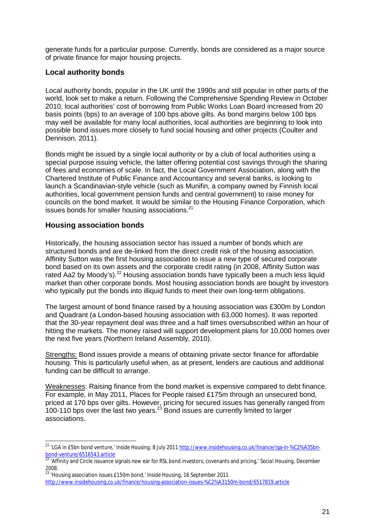generate funds for a particular purpose. Currently, bonds are considered as a major source of private finance for major housing projects.

## **Local authority bonds**

Local authority bonds, popular in the UK until the 1990s and still popular in other parts of the world, look set to make a return. Following the Comprehensive Spending Review in October 2010, local authorities' cost of borrowing from Public Works Loan Board increased from 20 basis points (bps) to an average of 100 bps above gilts. As bond margins below 100 bps may well be available for many local authorities, local authorities are beginning to look into possible bond issues more closely to fund social housing and other projects (Coulter and Dennison, 2011).

Bonds might be issued by a single local authority or by a club of local authorities using a special purpose issuing vehicle, the latter offering potential cost savings through the sharing of fees and economies of scale. In fact, the Local Government Association, along with the Chartered Institute of Public Finance and Accountancy and several banks, is looking to launch a Scandinavian-style vehicle (such as Munifin, a company owned by Finnish local authorities, local government pension funds and central government) to raise money for councils on the bond market. It would be similar to the Housing Finance Corporation, which issues bonds for smaller housing associations.<sup>21</sup>

#### **Housing association bonds**

Historically, the housing association sector has issued a number of bonds which are structured bonds and are de-linked from the direct credit risk of the housing association. Affinity Sutton was the first housing association to issue a new type of secured corporate bond based on its own assets and the corporate credit rating (in 2008, Affinity Sutton was rated Aa2 by Moody's).<sup>22</sup> Housing association bonds have typically been a much less liquid market than other corporate bonds. Most housing association bonds are bought by investors who typically put the bonds into illiquid funds to meet their own long-term obligations.

The largest amount of bond finance raised by a housing association was £300m by London and Quadrant (a London-based housing association with 63,000 homes). It was reported that the 30-year repayment deal was three and a half times oversubscribed within an hour of hitting the markets. The money raised will support development plans for 10,000 homes over the next five years (Northern Ireland Assembly, 2010).

Strengths: Bond issues provide a means of obtaining private sector finance for affordable housing. This is particularly useful when, as at present, lenders are cautious and additional funding can be difficult to arrange.

Weaknesses: Raising finance from the bond market is expensive compared to debt finance. For example, in May 2011, Places for People raised £175m through an unsecured bond, priced at 170 bps over gilts. However, pricing for secured issues has generally ranged from 100-110 bps over the last two years.<sup>23</sup> Bond issues are currently limited to larger associations.

 $\overline{a}$ <sup>21</sup> 'LGA in £5bn bond venture,' *Inside Housing*, 8 July 2011 <u>http://www.insidehousing.co.uk/finance/Iga-in-%C2%A35bn-</u> bond-venture/6516543.article

<sup>22</sup> 'Affinity and Circle issuance signals new ear for RSL bond investors, covenants and pricing,' *Social Housing*, December 2008.

<sup>23</sup> 'Housing association issues £150m bond,' *Inside Housing*, 16 September 2011 <http://www.insidehousing.co.uk/finance/housing-association-issues-%C2%A3150m-bond/6517819.article>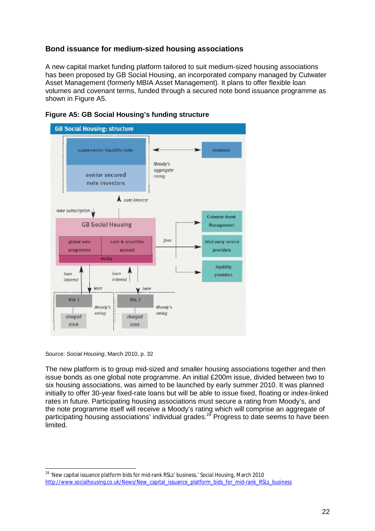## **Bond issuance for medium-sized housing associations**

A new capital market funding platform tailored to suit medium-sized housing associations has been proposed by GB Social Housing, an incorporated company managed by Cutwater Asset Management (formerly MBIA Asset Management). It plans to offer flexible loan volumes and covenant terms, funded through a secured note bond issuance programme as shown in Figure A5.





Source: *Social Housing*, March 2010, p. 32

The new platform is to group mid-sized and smaller housing associations together and then issue bonds as one global note programme. An initial £200m issue, divided between two to six housing associations, was aimed to be launched by early summer 2010. It was planned initially to offer 30-year fixed-rate loans but will be able to issue fixed, floating or index-linked rates in future. Participating housing associations must secure a rating from Moody's, and the note programme itself will receive a Moody's rating which will comprise an aggregate of participating housing associations' individual grades.<sup>24</sup> Progress to date seems to have been limited.

 $\overline{a}$ <sup>24</sup> 'New capital issuance platform bids for mid-rank RSLs' business,' *Social Housing*, March 2010 [http://www.socialhousing.co.uk/News/New\\_capital\\_issuance\\_platform\\_bids\\_for\\_mid-rank\\_RSLs\\_business](http://www.socialhousing.co.uk/News/New_capital_issuance_platform_bids_for_mid-rank_RSLs_business)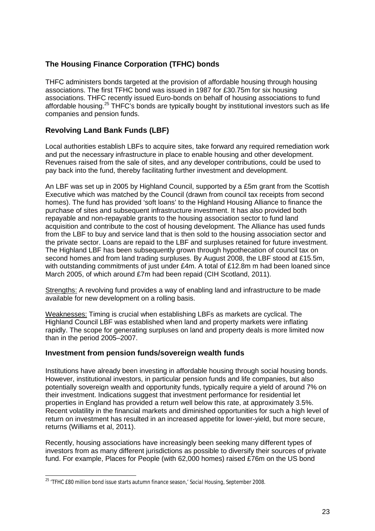# **The Housing Finance Corporation (TFHC) bonds**

THFC administers bonds targeted at the provision of affordable housing through housing associations. The first TFHC bond was issued in 1987 for £30.75m for six housing associations. THFC recently issued Euro-bonds on behalf of housing associations to fund affordable housing.<sup>25</sup> THFC's bonds are typically bought by institutional investors such as life companies and pension funds.

## **Revolving Land Bank Funds (LBF)**

Local authorities establish LBFs to acquire sites, take forward any required remediation work and put the necessary infrastructure in place to enable housing and other development. Revenues raised from the sale of sites, and any developer contributions, could be used to pay back into the fund, thereby facilitating further investment and development.

An LBF was set up in 2005 by Highland Council, supported by a £5m grant from the Scottish Executive which was matched by the Council (drawn from council tax receipts from second homes). The fund has provided 'soft loans' to the Highland Housing Alliance to finance the purchase of sites and subsequent infrastructure investment. It has also provided both repayable and non-repayable grants to the housing association sector to fund land acquisition and contribute to the cost of housing development. The Alliance has used funds from the LBF to buy and service land that is then sold to the housing association sector and the private sector. Loans are repaid to the LBF and surpluses retained for future investment. The Highland LBF has been subsequently grown through hypothecation of council tax on second homes and from land trading surpluses. By August 2008, the LBF stood at £15.5m, with outstanding commitments of just under £4m. A total of £12.8m m had been loaned since March 2005, of which around £7m had been repaid (CIH Scotland, 2011).

Strengths: A revolving fund provides a way of enabling land and infrastructure to be made available for new development on a rolling basis.

Weaknesses: Timing is crucial when establishing LBFs as markets are cyclical. The Highland Council LBF was established when land and property markets were inflating rapidly. The scope for generating surpluses on land and property deals is more limited now than in the period 2005–2007.

#### **Investment from pension funds/sovereign wealth funds**

Institutions have already been investing in affordable housing through social housing bonds. However, institutional investors, in particular pension funds and life companies, but also potentially sovereign wealth and opportunity funds, typically require a yield of around 7% on their investment. Indications suggest that investment performance for residential let properties in England has provided a return well below this rate, at approximately 3.5%. Recent volatility in the financial markets and diminished opportunities for such a high level of return on investment has resulted in an increased appetite for lower-yield, but more secure, returns (Williams et al, 2011).

Recently, housing associations have increasingly been seeking many different types of investors from as many different jurisdictions as possible to diversify their sources of private fund. For example, Places for People (with 62,000 homes) raised £76m on the US bond

 <sup>25</sup> 'TFHC £80 million bond issue starts autumn finance season,' *Social Housing*, September 2008.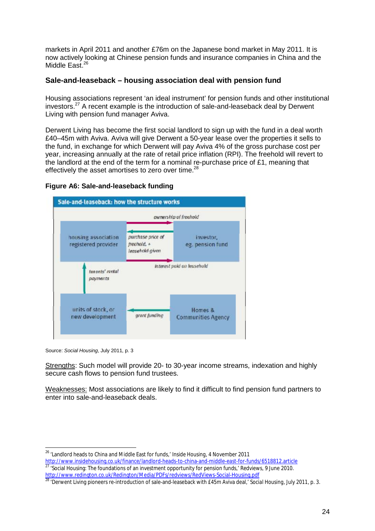markets in April 2011 and another £76m on the Japanese bond market in May 2011. It is now actively looking at Chinese pension funds and insurance companies in China and the Middle East.<sup>26</sup>

#### **Sale-and-leaseback – housing association deal with pension fund**

Housing associations represent 'an ideal instrument' for pension funds and other institutional investors.<sup>27</sup> A recent example is the introduction of sale-and-leaseback deal by Derwent Living with pension fund manager Aviva.

Derwent Living has become the first social landlord to sign up with the fund in a deal worth £40–45m with Aviva. Aviva will give Derwent a 50-year lease over the properties it sells to the fund, in exchange for which Derwent will pay Aviva 4% of the gross purchase cost per year, increasing annually at the rate of retail price inflation (RPI). The freehold will revert to the landlord at the end of the term for a nominal re-purchase price of £1, meaning that effectively the asset amortises to zero over time.<sup>28</sup>

#### **Figure A6: Sale-and-leaseback funding**



Source: *Social Housing*, July 2011, p. 3

Strengths: Such model will provide 20- to 30-year income streams, indexation and highly secure cash flows to pension fund trustees.

Weaknesses: Most associations are likely to find it difficult to find pension fund partners to enter into sale-and-leaseback deals.

<sup>26</sup> 'Landlord heads to China and Middle East for funds,*' Inside Housing*, 4 November 2011

<http://www.insidehousing.co.uk/finance/landlord-heads-to-china-and-middle-east-for-funds/6518812.article>

<sup>27</sup> 'Social Housing: The foundations of an investment opportunity for pension funds,' Redviews, 9 June 2010. <http://www.redington.co.uk/Redington/Media/PDFs/redviews/RedViews-Social-Housing.pdf>

<sup>28</sup> 'Derwent Living pioneers re-introduction of sale-and-leaseback with £45m Aviva deal,' *Social Housing*, July 2011, p. 3.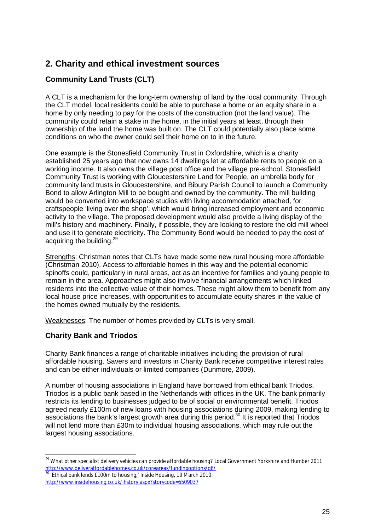# **2. Charity and ethical investment sources**

# **Community Land Trusts (CLT)**

A CLT is a mechanism for the long-term ownership of land by the local community. Through the CLT model, local residents could be able to purchase a home or an equity share in a home by only needing to pay for the costs of the construction (not the land value). The community could retain a stake in the home, in the initial years at least, through their ownership of the land the home was built on. The CLT could potentially also place some conditions on who the owner could sell their home on to in the future.

One example is the Stonesfield Community Trust in Oxfordshire, which is a charity established 25 years ago that now owns 14 dwellings let at affordable rents to people on a working income. It also owns the village post office and the village pre-school. Stonesfield Community Trust is working with Gloucestershire Land for People, an umbrella body for community land trusts in Gloucestershire, and Bibury Parish Council to launch a Community Bond to allow Arlington Mill to be bought and owned by the community. The mill building would be converted into workspace studios with living accommodation attached, for craftspeople 'living over the shop', which would bring increased employment and economic activity to the village. The proposed development would also provide a living display of the mill's history and machinery. Finally, if possible, they are looking to restore the old mill wheel and use it to generate electricity. The Community Bond would be needed to pay the cost of acquiring the building.<sup>29</sup>

Strengths: Christman notes that CLTs have made some new rural housing more affordable (Christman 2010). Access to affordable homes in this way and the potential economic spinoffs could, particularly in rural areas, act as an incentive for families and young people to remain in the area. Approaches might also involve financial arrangements which linked residents into the collective value of their homes. These might allow them to benefit from any local house price increases, with opportunities to accumulate equity shares in the value of the homes owned mutually by the residents.

Weaknesses: The number of homes provided by CLTs is very small.

# **Charity Bank and Triodos**

Charity Bank finances a range of charitable initiatives including the provision of rural affordable housing. Savers and investors in Charity Bank receive competitive interest rates and can be either individuals or limited companies (Dunmore, 2009).

A number of housing associations in England have borrowed from ethical bank Triodos. Triodos is a public bank based in the Netherlands with offices in the UK. The bank primarily restricts its lending to businesses judged to be of social or environmental benefit. Triodos agreed nearly £100m of new loans with housing associations during 2009, making lending to associations the bank's largest growth area during this period.<sup>30</sup> It is reported that Triodos will not lend more than £30m to individual housing associations, which may rule out the largest housing associations.

 <sup>29</sup> *What other specialist delivery vehicles can provide affordable housing?* Local Government Yorkshire and Humber 2011 <http://www.deliveraffordablehomes.co.uk/coreareas/fundingoptions/q6/>

<sup>30</sup> 'Ethical bank lends £100m to housing,' *Inside Housing*, 19 March 2010. <http://www.insidehousing.co.uk/ihstory.aspx?storycode=6509037>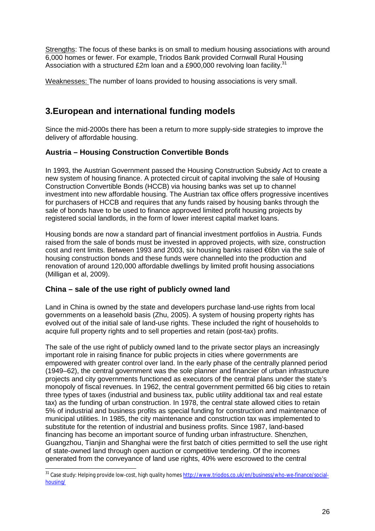Strengths: The focus of these banks is on small to medium housing associations with around 6,000 homes or fewer. For example, Triodos Bank provided Cornwall Rural Housing Association with a structured £2m loan and a £900,000 revolving loan facility.<sup>31</sup>

Weaknesses: The number of loans provided to housing associations is very small.

# **3.European and international funding models**

Since the mid-2000s there has been a return to more supply-side strategies to improve the delivery of affordable housing.

# **Austria – Housing Construction Convertible Bonds**

In 1993, the Austrian Government passed the Housing Construction Subsidy Act to create a new system of housing finance. A protected circuit of capital involving the sale of Housing Construction Convertible Bonds (HCCB) via housing banks was set up to channel investment into new affordable housing. The Austrian tax office offers progressive incentives for purchasers of HCCB and requires that any funds raised by housing banks through the sale of bonds have to be used to finance approved limited profit housing projects by registered social landlords, in the form of lower interest capital market loans.

Housing bonds are now a standard part of financial investment portfolios in Austria. Funds raised from the sale of bonds must be invested in approved projects, with size, construction cost and rent limits. Between 1993 and 2003, six housing banks raised €6bn via the sale of housing construction bonds and these funds were channelled into the production and renovation of around 120,000 affordable dwellings by limited profit housing associations (Milligan et al, 2009).

# **China – sale of the use right of publicly owned land**

 $\overline{a}$ 

Land in China is owned by the state and developers purchase land-use rights from local governments on a leasehold basis (Zhu, 2005). A system of housing property rights has evolved out of the initial sale of land-use rights. These included the right of households to acquire full property rights and to sell properties and retain (post-tax) profits.

The sale of the use right of publicly owned land to the private sector plays an increasingly important role in raising finance for public projects in cities where governments are empowered with greater control over land. In the early phase of the centrally planned period (1949–62), the central government was the sole planner and financier of urban infrastructure projects and city governments functioned as executors of the central plans under the state's monopoly of fiscal revenues. In 1962, the central government permitted 66 big cities to retain three types of taxes (industrial and business tax, public utility additional tax and real estate tax) as the funding of urban construction. In 1978, the central state allowed cities to retain 5% of industrial and business profits as special funding for construction and maintenance of municipal utilities. In 1985, the city maintenance and construction tax was implemented to substitute for the retention of industrial and business profits. Since 1987, land-based financing has become an important source of funding urban infrastructure. Shenzhen, Guangzhou, Tianjin and Shanghai were the first batch of cities permitted to sell the use right of state-owned land through open auction or competitive tendering. Of the incomes generated from the conveyance of land use rights, 40% were escrowed to the central

<sup>&</sup>lt;sup>31</sup> Case study: Helping provide low-cost, high quality homes <u>http://www.triodos.co.uk/en/business/who-we-finance/social-</u> housing/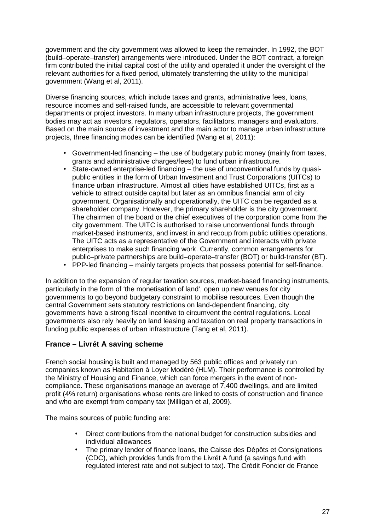government and the city government was allowed to keep the remainder. In 1992, the BOT (build–operate–transfer) arrangements were introduced. Under the BOT contract, a foreign firm contributed the initial capital cost of the utility and operated it under the oversight of the relevant authorities for a fixed period, ultimately transferring the utility to the municipal government (Wang et al, 2011).

Diverse financing sources, which include taxes and grants, administrative fees, loans, resource incomes and self-raised funds, are accessible to relevant governmental departments or project investors. In many urban infrastructure projects, the government bodies may act as investors, regulators, operators, facilitators, managers and evaluators. Based on the main source of investment and the main actor to manage urban infrastructure projects, three financing modes can be identified (Wang et al, 2011):

- Government-led financing the use of budgetary public money (mainly from taxes, grants and administrative charges/fees) to fund urban infrastructure.
- State-owned enterprise-led financing the use of unconventional funds by quasipublic entities in the form of Urban Investment and Trust Corporations (UITCs) to finance urban infrastructure. Almost all cities have established UITCs, first as a vehicle to attract outside capital but later as an omnibus financial arm of city government. Organisationally and operationally, the UITC can be regarded as a shareholder company. However, the primary shareholder is the city government. The chairmen of the board or the chief executives of the corporation come from the city government. The UITC is authorised to raise unconventional funds through market-based instruments, and invest in and recoup from public utilities operations. The UITC acts as a representative of the Government and interacts with private enterprises to make such financing work. Currently, common arrangements for public–private partnerships are build–operate–transfer (BOT) or build-transfer (BT).
- PPP-led financing mainly targets projects that possess potential for self-finance.

In addition to the expansion of regular taxation sources, market-based financing instruments, particularly in the form of 'the monetisation of land', open up new venues for city governments to go beyond budgetary constraint to mobilise resources. Even though the central Government sets statutory restrictions on land-dependent financing, city governments have a strong fiscal incentive to circumvent the central regulations. Local governments also rely heavily on land leasing and taxation on real property transactions in funding public expenses of urban infrastructure (Tang et al, 2011).

#### **France – Livrét A saving scheme**

French social housing is built and managed by 563 public offices and privately run companies known as Habitation à Loyer Modéré (HLM). Their performance is controlled by the Ministry of Housing and Finance, which can force mergers in the event of noncompliance. These organisations manage an average of 7,400 dwellings, and are limited profit (4% return) organisations whose rents are linked to costs of construction and finance and who are exempt from company tax (Milligan et al, 2009).

The mains sources of public funding are:

- Direct contributions from the national budget for construction subsidies and individual allowances
- The primary lender of finance loans, the Caisse des Dépôts et Consignations (CDC), which provides funds from the Livrét A fund (a savings fund with regulated interest rate and not subject to tax). The Crédit Foncier de France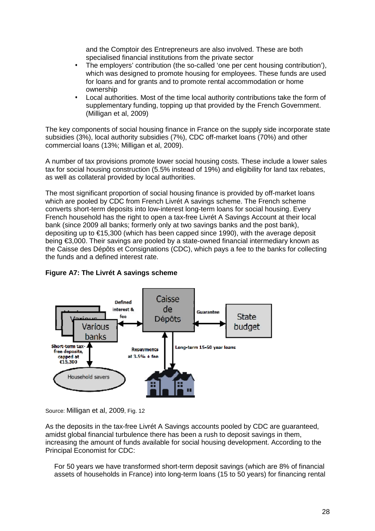and the Comptoir des Entrepreneurs are also involved. These are both specialised financial institutions from the private sector

- The employers' contribution (the so-called 'one per cent housing contribution'), which was designed to promote housing for employees. These funds are used for loans and for grants and to promote rental accommodation or home ownership
- Local authorities. Most of the time local authority contributions take the form of supplementary funding, topping up that provided by the French Government. (Milligan et al, 2009)

The key components of social housing finance in France on the supply side incorporate state subsidies (3%), local authority subsidies (7%), CDC off-market loans (70%) and other commercial loans (13%; Milligan et al, 2009).

A number of tax provisions promote lower social housing costs. These include a lower sales tax for social housing construction (5.5% instead of 19%) and eligibility for land tax rebates, as well as collateral provided by local authorities.

The most significant proportion of social housing finance is provided by off-market loans which are pooled by CDC from French Livrét A savings scheme. The French scheme converts short-term deposits into low-interest long-term loans for social housing. Every French household has the right to open a tax-free Livrét A Savings Account at their local bank (since 2009 all banks; formerly only at two savings banks and the post bank), depositing up to €15,300 (which has been capped since 1990), with the average deposit being €3,000. Their savings are pooled by a state-owned financial intermediary known as the Caisse des Dépôts et Consignations (CDC), which pays a fee to the banks for collecting the funds and a defined interest rate.

#### **Figure A7: The Livrét A savings scheme**



Source: Milligan et al, 2009, Fig. 12

As the deposits in the tax-free Livrét A Savings accounts pooled by CDC are guaranteed, amidst global financial turbulence there has been a rush to deposit savings in them, increasing the amount of funds available for social housing development. According to the Principal Economist for CDC:

For 50 years we have transformed short-term deposit savings (which are 8% of financial assets of households in France) into long-term loans (15 to 50 years) for financing rental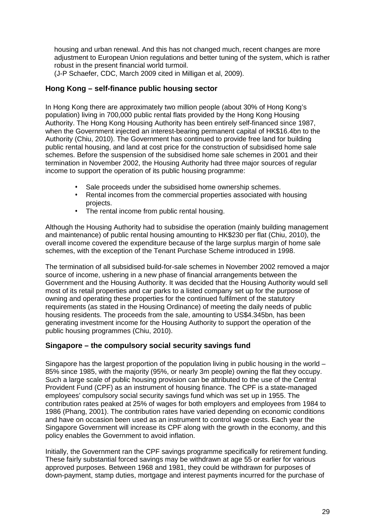housing and urban renewal. And this has not changed much, recent changes are more adjustment to European Union regulations and better tuning of the system, which is rather robust in the present financial world turmoil.

(J-P Schaefer, CDC, March 2009 cited in Milligan et al, 2009).

## **Hong Kong – self-finance public housing sector**

In Hong Kong there are approximately two million people (about 30% of Hong Kong's population) living in 700,000 public rental flats provided by the Hong Kong Housing Authority. The Hong Kong Housing Authority has been entirely self-financed since 1987, when the Government injected an interest-bearing permanent capital of HK\$16.4bn to the Authority (Chiu, 2010). The Government has continued to provide free land for building public rental housing, and land at cost price for the construction of subsidised home sale schemes. Before the suspension of the subsidised home sale schemes in 2001 and their termination in November 2002, the Housing Authority had three major sources of regular income to support the operation of its public housing programme:

- Sale proceeds under the subsidised home ownership schemes.
- Rental incomes from the commercial properties associated with housing projects.
- The rental income from public rental housing.

Although the Housing Authority had to subsidise the operation (mainly building management and maintenance) of public rental housing amounting to HK\$230 per flat (Chiu, 2010), the overall income covered the expenditure because of the large surplus margin of home sale schemes, with the exception of the Tenant Purchase Scheme introduced in 1998.

The termination of all subsidised build-for-sale schemes in November 2002 removed a major source of income, ushering in a new phase of financial arrangements between the Government and the Housing Authority. It was decided that the Housing Authority would sell most of its retail properties and car parks to a listed company set up for the purpose of owning and operating these properties for the continued fulfilment of the statutory requirements (as stated in the Housing Ordinance) of meeting the daily needs of public housing residents. The proceeds from the sale, amounting to US\$4.345bn, has been generating investment income for the Housing Authority to support the operation of the public housing programmes (Chiu, 2010).

#### **Singapore – the compulsory social security savings fund**

Singapore has the largest proportion of the population living in public housing in the world  $-$ 85% since 1985, with the majority (95%, or nearly 3m people) owning the flat they occupy. Such a large scale of public housing provision can be attributed to the use of the Central Provident Fund (CPF) as an instrument of housing finance. The CPF is a state-managed employees' compulsory social security savings fund which was set up in 1955. The contribution rates peaked at 25% of wages for both employers and employees from 1984 to 1986 (Phang, 2001). The contribution rates have varied depending on economic conditions and have on occasion been used as an instrument to control wage costs. Each year the Singapore Government will increase its CPF along with the growth in the economy, and this policy enables the Government to avoid inflation.

Initially, the Government ran the CPF savings programme specifically for retirement funding. These fairly substantial forced savings may be withdrawn at age 55 or earlier for various approved purposes. Between 1968 and 1981, they could be withdrawn for purposes of down-payment, stamp duties, mortgage and interest payments incurred for the purchase of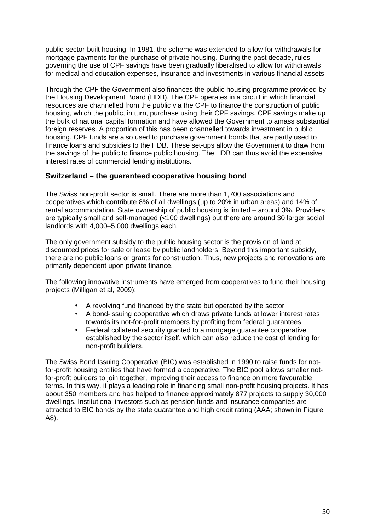public-sector-built housing. In 1981, the scheme was extended to allow for withdrawals for mortgage payments for the purchase of private housing. During the past decade, rules governing the use of CPF savings have been gradually liberalised to allow for withdrawals for medical and education expenses, insurance and investments in various financial assets.

Through the CPF the Government also finances the public housing programme provided by the Housing Development Board (HDB). The CPF operates in a circuit in which financial resources are channelled from the public via the CPF to finance the construction of public housing, which the public, in turn, purchase using their CPF savings. CPF savings make up the bulk of national capital formation and have allowed the Government to amass substantial foreign reserves. A proportion of this has been channelled towards investment in public housing. CPF funds are also used to purchase government bonds that are partly used to finance loans and subsidies to the HDB. These set-ups allow the Government to draw from the savings of the public to finance public housing. The HDB can thus avoid the expensive interest rates of commercial lending institutions.

#### **Switzerland – the guaranteed cooperative housing bond**

The Swiss non-profit sector is small. There are more than 1,700 associations and cooperatives which contribute 8% of all dwellings (up to 20% in urban areas) and 14% of rental accommodation. State ownership of public housing is limited – around 3%. Providers are typically small and self-managed (<100 dwellings) but there are around 30 larger social landlords with 4,000–5,000 dwellings each.

The only government subsidy to the public housing sector is the provision of land at discounted prices for sale or lease by public landholders. Beyond this important subsidy, there are no public loans or grants for construction. Thus, new projects and renovations are primarily dependent upon private finance.

The following innovative instruments have emerged from cooperatives to fund their housing projects (Milligan et al, 2009):

- A revolving fund financed by the state but operated by the sector
- A bond-issuing cooperative which draws private funds at lower interest rates towards its not-for-profit members by profiting from federal guarantees
- Federal collateral security granted to a mortgage guarantee cooperative established by the sector itself, which can also reduce the cost of lending for non-profit builders.

The Swiss Bond Issuing Cooperative (BIC) was established in 1990 to raise funds for notfor-profit housing entities that have formed a cooperative. The BIC pool allows smaller notfor-profit builders to join together, improving their access to finance on more favourable terms. In this way, it plays a leading role in financing small non-profit housing projects. It has about 350 members and has helped to finance approximately 877 projects to supply 30,000 dwellings. Institutional investors such as pension funds and insurance companies are attracted to BIC bonds by the state guarantee and high credit rating (AAA; shown in Figure A8).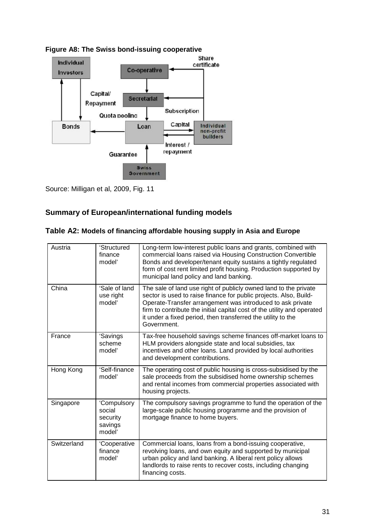

**Figure A8: The Swiss bond-issuing cooperative**

Source: Milligan et al, 2009, Fig. 11

# **Summary of European/international funding models**

|  |  | Table A2: Models of financing affordable housing supply in Asia and Europe |  |  |  |  |  |  |
|--|--|----------------------------------------------------------------------------|--|--|--|--|--|--|
|--|--|----------------------------------------------------------------------------|--|--|--|--|--|--|

| Austria     | 'Structured<br>finance<br>model'                       | Long-term low-interest public loans and grants, combined with<br>commercial loans raised via Housing Construction Convertible<br>Bonds and developer/tenant equity sustains a tightly regulated<br>form of cost rent limited profit housing. Production supported by<br>municipal land policy and land banking.                                               |
|-------------|--------------------------------------------------------|---------------------------------------------------------------------------------------------------------------------------------------------------------------------------------------------------------------------------------------------------------------------------------------------------------------------------------------------------------------|
| China       | 'Sale of land<br>use right<br>model'                   | The sale of land use right of publicly owned land to the private<br>sector is used to raise finance for public projects. Also, Build-<br>Operate-Transfer arrangement was introduced to ask private<br>firm to contribute the initial capital cost of the utility and operated<br>it under a fixed period, then transferred the utility to the<br>Government. |
| France      | 'Savings<br>scheme<br>model'                           | Tax-free household savings scheme finances off-market loans to<br>HLM providers alongside state and local subsidies, tax<br>incentives and other loans. Land provided by local authorities<br>and development contributions.                                                                                                                                  |
| Hong Kong   | 'Self-finance<br>model'                                | The operating cost of public housing is cross-subsidised by the<br>sale proceeds from the subsidised home ownership schemes<br>and rental incomes from commercial properties associated with<br>housing projects.                                                                                                                                             |
| Singapore   | 'Compulsory<br>social<br>security<br>savings<br>model' | The compulsory savings programme to fund the operation of the<br>large-scale public housing programme and the provision of<br>mortgage finance to home buyers.                                                                                                                                                                                                |
| Switzerland | 'Cooperative<br>finance<br>model'                      | Commercial loans, loans from a bond-issuing cooperative,<br>revolving loans, and own equity and supported by municipal<br>urban policy and land banking. A liberal rent policy allows<br>landlords to raise rents to recover costs, including changing<br>financing costs.                                                                                    |